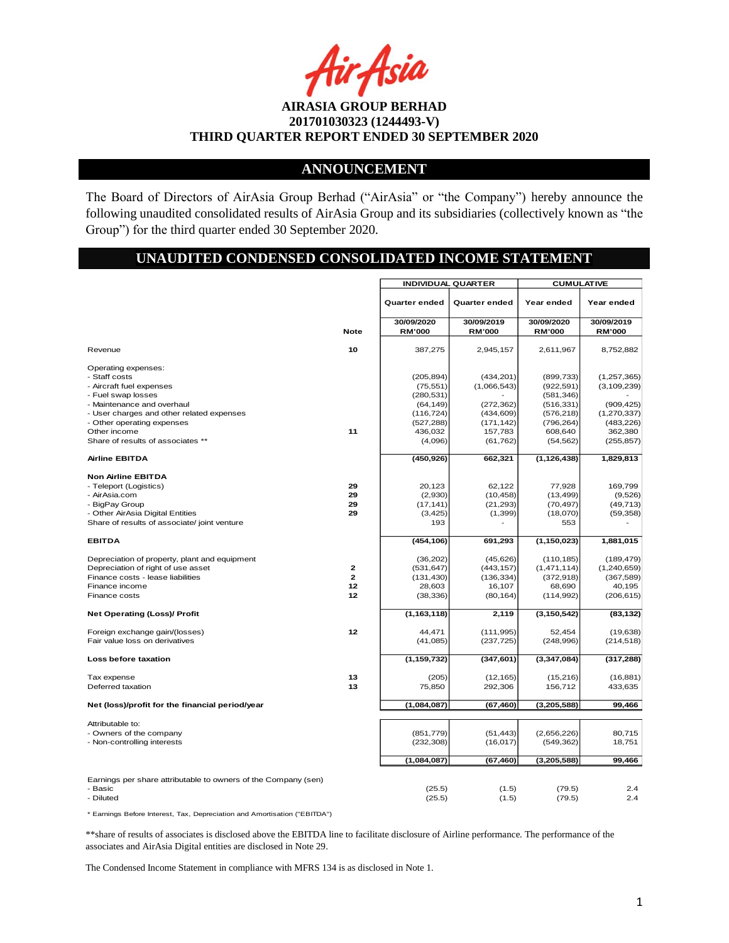Asia

### **ANNOUNCEMENT**

The Board of Directors of AirAsia Group Berhad ("AirAsia" or "the Company") hereby announce the following unaudited consolidated results of AirAsia Group and its subsidiaries (collectively known as "the Group") for the third quarter ended 30 September 2020.

# **UNAUDITED CONDENSED CONSOLIDATED INCOME STATEMENT**

|                                                                                                                                             |              | <b>INDIVIDUAL QUARTER</b> |                        | <b>CUMULATIVE</b>         |                  |  |
|---------------------------------------------------------------------------------------------------------------------------------------------|--------------|---------------------------|------------------------|---------------------------|------------------|--|
|                                                                                                                                             |              | Quarter ended             | Quarter ended          | Year ended                | Year ended       |  |
|                                                                                                                                             |              | 30/09/2020                | 30/09/2019             | 30/09/2020                | 30/09/2019       |  |
|                                                                                                                                             | <b>Note</b>  | <b>RM'000</b>             | <b>RM'000</b>          | <b>RM'000</b>             | <b>RM'000</b>    |  |
|                                                                                                                                             |              |                           |                        |                           |                  |  |
| Revenue                                                                                                                                     | 10           | 387,275                   | 2,945,157              | 2,611,967                 | 8,752,882        |  |
| Operating expenses:                                                                                                                         |              |                           |                        |                           |                  |  |
| - Staff costs                                                                                                                               |              | (205, 894)                | (434, 201)             | (899, 733)                | (1, 257, 365)    |  |
| - Aircraft fuel expenses                                                                                                                    |              | (75, 551)                 | (1,066,543)            | (922, 591)                | (3, 109, 239)    |  |
| - Fuel swap losses                                                                                                                          |              | (280, 531)                |                        | (581, 346)                |                  |  |
| - Maintenance and overhaul                                                                                                                  |              | (64, 149)                 | (272, 362)             | (516, 331)                | (909, 425)       |  |
| - User charges and other related expenses                                                                                                   |              | (116, 724)                | (434, 609)             | (576, 218)                | (1, 270, 337)    |  |
| - Other operating expenses                                                                                                                  |              | (527, 288)                | (171, 142)             | (796, 264)                | (483, 226)       |  |
| Other income                                                                                                                                | 11           | 436,032                   | 157,783                | 608,640                   | 362,380          |  |
| Share of results of associates **                                                                                                           |              | (4,096)                   | (61, 762)              | (54, 562)                 | (255, 857)       |  |
| <b>Airline EBITDA</b>                                                                                                                       |              | (450, 926)                | 662,321                | (1, 126, 438)             | 1,829,813        |  |
| <b>Non Airline EBITDA</b>                                                                                                                   |              |                           |                        |                           |                  |  |
| - Teleport (Logistics)                                                                                                                      | 29           | 20,123                    | 62,122                 | 77,928                    | 169,799          |  |
| - AirAsia.com                                                                                                                               | 29           | (2,930)                   | (10, 458)              | (13, 499)                 | (9,526)          |  |
| - BigPay Group                                                                                                                              | 29           | (17, 141)                 | (21, 293)              | (70, 497)                 | (49, 713)        |  |
| - Other AirAsia Digital Entities                                                                                                            | 29           | (3, 425)                  | (1, 399)               | (18,070)                  | (59, 358)        |  |
| Share of results of associate/ joint venture                                                                                                |              | 193                       |                        | 553                       |                  |  |
|                                                                                                                                             |              |                           |                        |                           |                  |  |
| <b>EBITDA</b>                                                                                                                               |              | (454, 106)                | 691,293                | (1, 150, 023)             | 1,881,015        |  |
| Depreciation of property, plant and equipment                                                                                               |              | (36,202)                  | (45, 626)              | (110, 185)                | (189, 479)       |  |
| Depreciation of right of use asset                                                                                                          | 2            | (531, 647)                | (443, 157)             | (1, 471, 114)             | (1,240,659)      |  |
| Finance costs - lease liabilities                                                                                                           | $\mathbf{z}$ | (131, 430)                | (136, 334)             | (372, 918)                | (367, 589)       |  |
| Finance income                                                                                                                              | 12           | 28,603                    | 16,107                 | 68,690                    | 40,195           |  |
| Finance costs                                                                                                                               | 12           | (38, 336)                 | (80, 164)              | (114, 992)                | (206, 615)       |  |
| <b>Net Operating (Loss)/ Profit</b>                                                                                                         |              | (1, 163, 118)             | 2,119                  | (3, 150, 542)             | (83, 132)        |  |
| Foreign exchange gain/(losses)                                                                                                              | 12           | 44,471                    | (111, 995)             | 52,454                    | (19, 638)        |  |
| Fair value loss on derivatives                                                                                                              |              | (41,085)                  | (237, 725)             | (248, 996)                | (214, 518)       |  |
| Loss before taxation                                                                                                                        |              | (1, 159, 732)             | (347, 601)             | (3, 347, 084)             | (317, 288)       |  |
|                                                                                                                                             |              |                           |                        |                           |                  |  |
| Tax expense                                                                                                                                 | 13           | (205)                     | (12, 165)              | (15, 216)                 | (16, 881)        |  |
| Deferred taxation                                                                                                                           | 13           | 75,850                    | 292,306                | 156,712                   | 433,635          |  |
| Net (loss)/profit for the financial period/year                                                                                             |              | (1,084,087)               | (67, 460)              | (3,205,588)               | 99,466           |  |
|                                                                                                                                             |              |                           |                        |                           |                  |  |
| Attributable to:                                                                                                                            |              |                           |                        |                           |                  |  |
| - Owners of the company<br>- Non-controlling interests                                                                                      |              | (851, 779)<br>(232, 308)  | (51, 443)<br>(16, 017) | (2,656,226)<br>(549, 362) | 80,715<br>18,751 |  |
|                                                                                                                                             |              |                           |                        |                           |                  |  |
|                                                                                                                                             |              | (1,084,087)               | (67, 460)              | (3, 205, 588)             | 99,466           |  |
| Earnings per share attributable to owners of the Company (sen)                                                                              |              |                           |                        |                           |                  |  |
| - Basic                                                                                                                                     |              | (25.5)                    | (1.5)                  | (79.5)                    | 2.4              |  |
| - Diluted                                                                                                                                   |              | (25.5)                    | (1.5)                  | (79.5)                    | 2.4              |  |
| * Earnings Before Interest, Tax, Depreciation and Amortisation ("EBITDA")                                                                   |              |                           |                        |                           |                  |  |
| **share of results of associates is disclosed above the EBITDA line to facilitate disclosure of Airline performance. The performance of the |              |                           |                        |                           |                  |  |
| associates and AirAsia Digital entities are disclosed in Note 29.                                                                           |              |                           |                        |                           |                  |  |
| The Condensed Income Statement in compliance with MFRS 134 is as disclosed in Note 1.                                                       |              |                           |                        |                           |                  |  |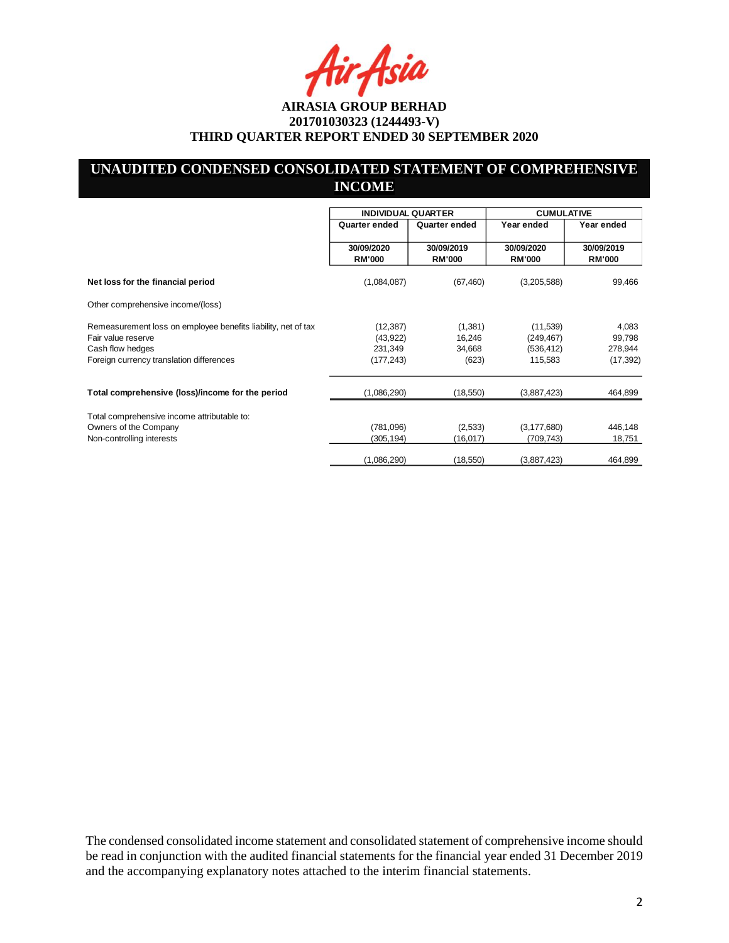Asia

# **UNAUDITED CONDENSED CONSOLIDATED STATEMENT OF COMPREHENSIVE INCOME**

|                                                                                                                                                     |                                                 | <b>INDIVIDUAL QUARTER</b>            |                                                  | <b>CUMULATIVE</b>                       |
|-----------------------------------------------------------------------------------------------------------------------------------------------------|-------------------------------------------------|--------------------------------------|--------------------------------------------------|-----------------------------------------|
|                                                                                                                                                     | Quarter ended                                   | Quarter ended                        | Year ended                                       | Year ended                              |
|                                                                                                                                                     | 30/09/2020<br><b>RM'000</b>                     | 30/09/2019<br><b>RM'000</b>          | 30/09/2020<br><b>RM'000</b>                      | 30/09/2019<br><b>RM'000</b>             |
| Net loss for the financial period                                                                                                                   | (1,084,087)                                     | (67, 460)                            | (3,205,588)                                      | 99,466                                  |
| Other comprehensive income/(loss)                                                                                                                   |                                                 |                                      |                                                  |                                         |
| Remeasurement loss on employee benefits liability, net of tax<br>Fair value reserve<br>Cash flow hedges<br>Foreign currency translation differences | (12, 387)<br>(43, 922)<br>231,349<br>(177, 243) | (1,381)<br>16,246<br>34,668<br>(623) | (11, 539)<br>(249, 467)<br>(536, 412)<br>115,583 | 4,083<br>99,798<br>278,944<br>(17, 392) |
| Total comprehensive (loss)/income for the period                                                                                                    | (1,086,290)                                     | (18,550)                             | (3,887,423)                                      | 464,899                                 |
| Total comprehensive income attributable to:<br>Owners of the Company<br>Non-controlling interests                                                   | (781,096)<br>(305,194)                          | (2,533)<br>(16, 017)                 | (3, 177, 680)<br>(709, 743)                      | 446,148<br>18,751                       |
|                                                                                                                                                     | (1,086,290)                                     | (18,550)                             | (3,887,423)                                      | 464,899                                 |

The condensed consolidated income statement and consolidated statement of comprehensive income should be read in conjunction with the audited financial statements for the financial year ended 31 December 2019 and the accompanying explanatory notes attached to the interim financial statements.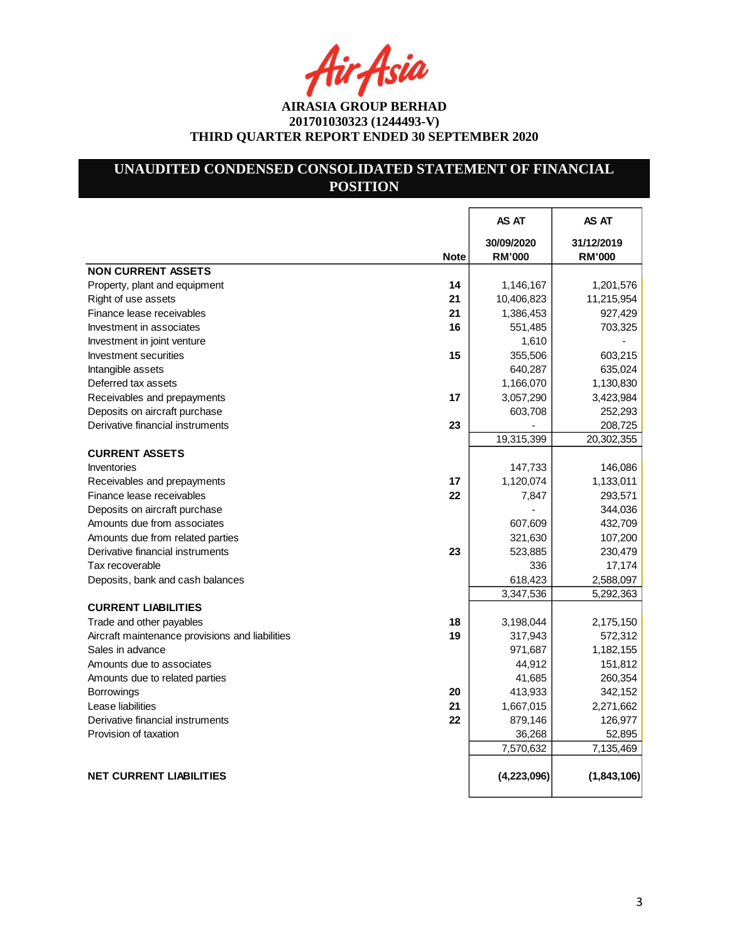4ir<sub>t</sub>Asia

# **UNAUDITED CONDENSED CONSOLIDATED STATEMENT OF FINANCIAL POSITION**

|                                                       | AS AT                       | AS AT                       |
|-------------------------------------------------------|-----------------------------|-----------------------------|
| <b>Note</b>                                           | 30/09/2020<br><b>RM'000</b> | 31/12/2019<br><b>RM'000</b> |
| <b>NON CURRENT ASSETS</b>                             |                             |                             |
| Property, plant and equipment<br>14                   | 1,146,167                   | 1,201,576                   |
| 21<br>Right of use assets                             | 10,406,823                  | 11,215,954                  |
| 21<br>Finance lease receivables                       | 1,386,453                   | 927,429                     |
| 16<br>Investment in associates                        | 551,485                     | 703,325                     |
| Investment in joint venture                           | 1,610                       |                             |
| Investment securities<br>15                           | 355,506                     | 603,215                     |
| Intangible assets                                     | 640,287                     | 635,024                     |
| Deferred tax assets                                   | 1,166,070                   | 1,130,830                   |
| 17<br>Receivables and prepayments                     | 3,057,290                   | 3,423,984                   |
| Deposits on aircraft purchase                         | 603,708                     | 252,293                     |
| Derivative financial instruments<br>23                |                             | 208,725                     |
|                                                       | 19,315,399                  | 20,302,355                  |
| <b>CURRENT ASSETS</b>                                 |                             |                             |
| Inventories                                           | 147,733                     | 146,086                     |
| 17<br>Receivables and prepayments                     | 1,120,074                   | 1,133,011                   |
| Finance lease receivables<br>22                       | 7,847                       | 293,571                     |
| Deposits on aircraft purchase                         |                             | 344,036                     |
| Amounts due from associates                           | 607,609                     | 432,709                     |
| Amounts due from related parties                      | 321,630                     | 107,200                     |
| 23<br>Derivative financial instruments                | 523,885                     | 230,479                     |
| Tax recoverable                                       | 336                         | 17,174                      |
| Deposits, bank and cash balances                      | 618,423                     | 2,588,097                   |
|                                                       | 3,347,536                   | 5,292,363                   |
| <b>CURRENT LIABILITIES</b>                            |                             |                             |
| 18<br>Trade and other payables                        | 3,198,044                   | 2,175,150                   |
| Aircraft maintenance provisions and liabilities<br>19 | 317,943                     | 572,312                     |
| Sales in advance                                      | 971,687                     | 1,182,155                   |
| Amounts due to associates                             | 44,912                      | 151,812                     |
| Amounts due to related parties                        | 41,685                      | 260,354                     |
| 20<br><b>Borrowings</b>                               | 413,933                     | 342,152                     |
| Lease liabilities<br>21                               | 1,667,015                   | 2,271,662                   |
| 22<br>Derivative financial instruments                | 879,146                     | 126,977                     |
| Provision of taxation                                 | 36,268                      | 52,895                      |
|                                                       | 7,570,632                   | 7,135,469                   |
|                                                       |                             |                             |
| <b>NET CURRENT LIABILITIES</b>                        | (4,223,096)                 | (1,843,106)                 |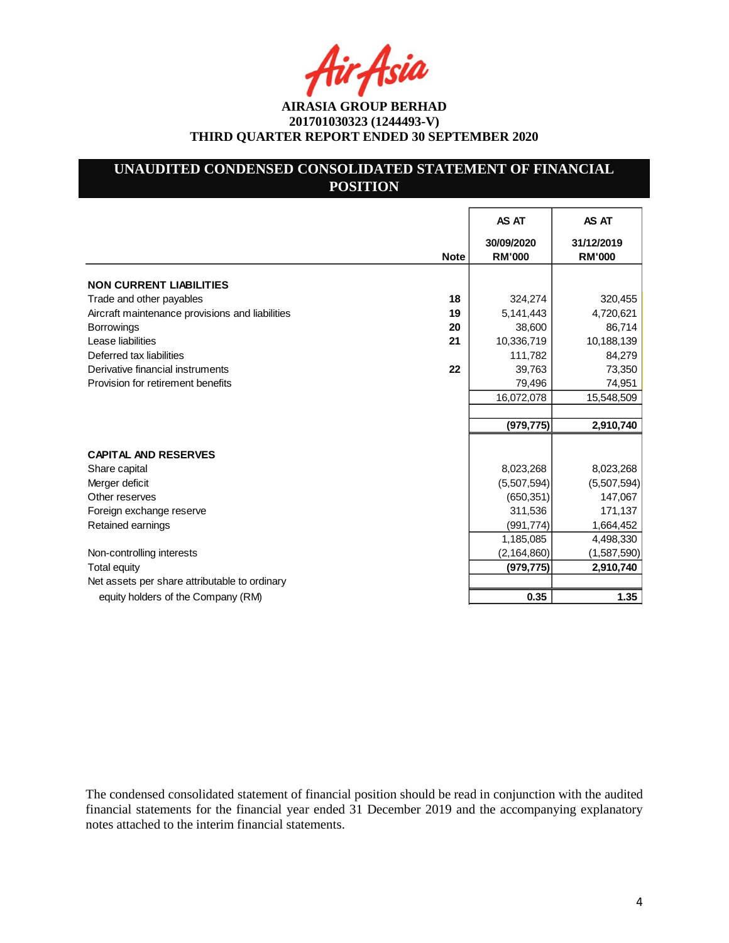Asia

# **UNAUDITED CONDENSED CONSOLIDATED STATEMENT OF FINANCIAL POSITION**

|                                                       | AS AT                       | AS AT                       |
|-------------------------------------------------------|-----------------------------|-----------------------------|
| <b>Note</b>                                           | 30/09/2020<br><b>RM'000</b> | 31/12/2019<br><b>RM'000</b> |
| <b>NON CURRENT LIABILITIES</b>                        |                             |                             |
| 18<br>Trade and other payables                        | 324,274                     | 320,455                     |
| Aircraft maintenance provisions and liabilities<br>19 | 5,141,443                   | 4,720,621                   |
| 20<br><b>Borrowings</b>                               | 38,600                      | 86,714                      |
| Lease liabilities<br>21                               | 10,336,719                  | 10,188,139                  |
| Deferred tax liabilities                              | 111,782                     | 84,279                      |
| 22<br>Derivative financial instruments                | 39,763                      | 73,350                      |
| Provision for retirement benefits                     | 79,496                      | 74,951                      |
|                                                       | 16,072,078                  | 15,548,509                  |
|                                                       |                             |                             |
|                                                       | (979, 775)                  | 2,910,740                   |
|                                                       |                             |                             |
| <b>CAPITAL AND RESERVES</b>                           |                             |                             |
| Share capital                                         | 8,023,268                   | 8,023,268                   |
| Merger deficit                                        | (5,507,594)                 | (5,507,594)                 |
| Other reserves                                        | (650, 351)                  | 147,067                     |
| Foreign exchange reserve                              | 311,536                     | 171,137                     |
| Retained earnings                                     | (991, 774)                  | 1,664,452                   |
|                                                       | 1,185,085                   | 4,498,330                   |
| Non-controlling interests                             | (2, 164, 860)               | (1,587,590)                 |
| <b>Total equity</b>                                   | (979, 775)                  | 2,910,740                   |
| Net assets per share attributable to ordinary         |                             |                             |
| equity holders of the Company (RM)                    | 0.35                        | 1.35                        |

The condensed consolidated statement of financial position should be read in conjunction with the audited financial statements for the financial year ended 31 December 2019 and the accompanying explanatory notes attached to the interim financial statements.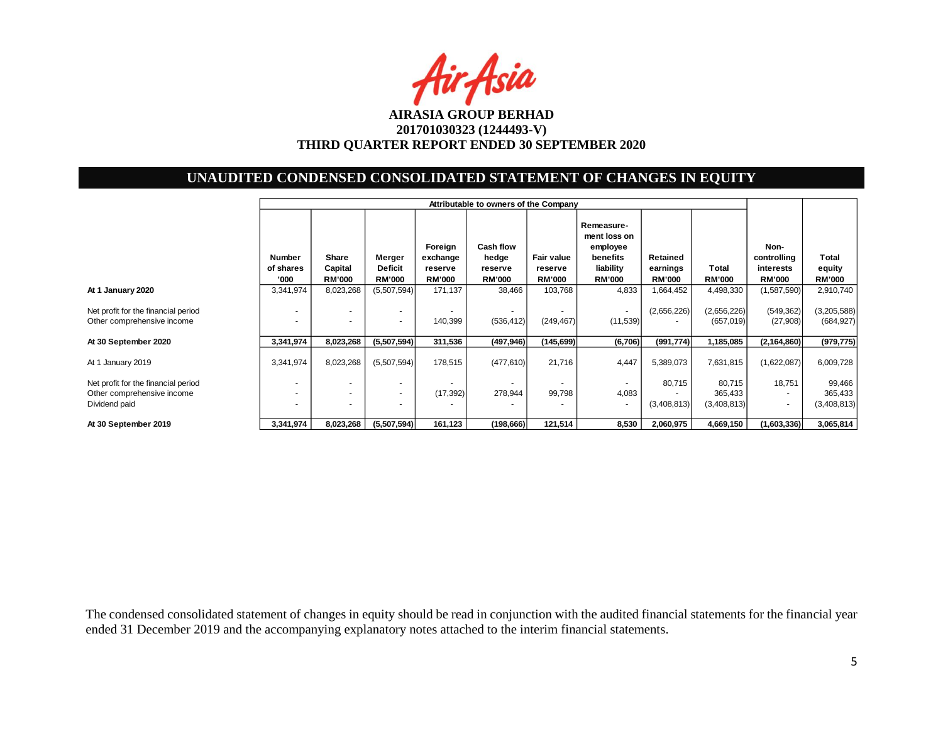

# **UNAUDITED CONDENSED CONSOLIDATED STATEMENT OF CHANGES IN EQUITY**

|                                                                                    | Attributable to owners of the Company |                            |                                           |                                                 |                               |                          |                                                                 |                                       |                                  |                                                                |                                  |
|------------------------------------------------------------------------------------|---------------------------------------|----------------------------|-------------------------------------------|-------------------------------------------------|-------------------------------|--------------------------|-----------------------------------------------------------------|---------------------------------------|----------------------------------|----------------------------------------------------------------|----------------------------------|
|                                                                                    | Number<br>of shares                   | Share<br>Capital           | Merger<br><b>Deficit</b><br><b>RM'000</b> | Foreign<br>exchange<br>reserve<br><b>RM'000</b> | Cash flow<br>hedge<br>reserve | Fair value<br>reserve    | Remeasure-<br>ment loss on<br>employee<br>benefits<br>liability | Retained<br>earnings<br><b>RM'000</b> | Total<br><b>RM'000</b>           | Non-<br>controlling<br>interests                               | <b>Total</b><br>equity           |
| At 1 January 2020                                                                  | '000<br>3,341,974                     | <b>RM'000</b><br>8,023,268 | (5,507,594)                               | 171,137                                         | <b>RM'000</b><br>38,466       | <b>RM'000</b><br>103,768 | <b>RM'000</b><br>4,833                                          | 1,664,452                             | 4,498,330                        | <b>RM'000</b><br>(1,587,590)                                   | <b>RM'000</b><br>2,910,740       |
| Net profit for the financial period<br>Other comprehensive income                  | $\overline{\phantom{a}}$              |                            | $\overline{\phantom{a}}$                  | 140,399                                         | ٠<br>(536, 412)               | (249, 467)               | $\sim$<br>(11, 539)                                             | (2,656,226)                           | (2,656,226)<br>(657, 019)        | (549, 362)<br>(27,908)                                         | (3,205,588)<br>(684, 927)        |
| At 30 September 2020                                                               | 3,341,974                             | 8,023,268                  | (5,507,594)                               | 311,536                                         | (497, 946)                    | (145,699)                | (6,706)                                                         | (991, 774)                            | 1,185,085                        | (2, 164, 860)                                                  | (979, 775)                       |
| At 1 January 2019                                                                  | 3,341,974                             | 8,023,268                  | (5,507,594)                               | 178,515                                         | (477, 610)                    | 21,716                   | 4,447                                                           | 5,389,073                             | 7,631,815                        | (1,622,087)                                                    | 6,009,728                        |
| Net profit for the financial period<br>Other comprehensive income<br>Dividend paid | $\overline{\phantom{a}}$              |                            | $\overline{\phantom{a}}$                  | (17, 392)                                       | $\sim$<br>278,944             | 99,798                   | $\overline{a}$<br>4,083<br>$\overline{\phantom{a}}$             | 80,715<br>(3,408,813)                 | 80,715<br>365,433<br>(3,408,813) | 18,751<br>$\overline{\phantom{a}}$<br>$\overline{\phantom{a}}$ | 99,466<br>365,433<br>(3,408,813) |
| At 30 September 2019                                                               | 3,341,974                             | 8,023,268                  | (5,507,594)                               | 161,123                                         | (198,666)                     | 121,514                  | 8,530                                                           | 2,060,975                             | 4,669,150                        | (1,603,336)                                                    | 3,065,814                        |

The condensed consolidated statement of changes in equity should be read in conjunction with the audited financial statements for the financial year ended 31 December 2019 and the accompanying explanatory notes attached to the interim financial statements.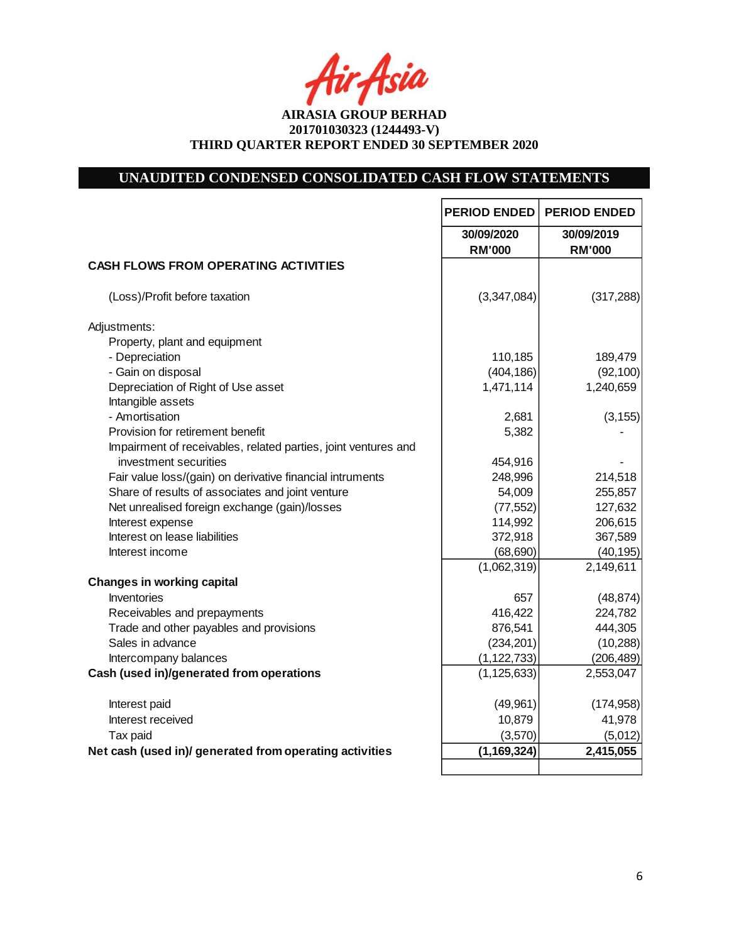fir<sub>f</sub>fsia

**AIRASIA GROUP BERHAD 201701030323 (1244493-V) THIRD QUARTER REPORT ENDED 30 SEPTEMBER 2020**

# **UNAUDITED CONDENSED CONSOLIDATED CASH FLOW STATEMENTS**

|                                                                | <b>PERIOD ENDED</b>         | <b>PERIOD ENDED</b>         |
|----------------------------------------------------------------|-----------------------------|-----------------------------|
|                                                                | 30/09/2020<br><b>RM'000</b> | 30/09/2019<br><b>RM'000</b> |
| <b>CASH FLOWS FROM OPERATING ACTIVITIES</b>                    |                             |                             |
| (Loss)/Profit before taxation                                  | (3,347,084)                 | (317, 288)                  |
| Adjustments:                                                   |                             |                             |
| Property, plant and equipment                                  |                             |                             |
| - Depreciation                                                 | 110,185                     | 189,479                     |
| - Gain on disposal                                             | (404, 186)                  | (92, 100)                   |
| Depreciation of Right of Use asset                             | 1,471,114                   | 1,240,659                   |
| Intangible assets                                              |                             |                             |
| - Amortisation                                                 | 2,681                       | (3, 155)                    |
| Provision for retirement benefit                               | 5,382                       |                             |
| Impairment of receivables, related parties, joint ventures and |                             |                             |
| investment securities                                          | 454,916                     |                             |
| Fair value loss/(gain) on derivative financial intruments      | 248,996                     | 214,518                     |
| Share of results of associates and joint venture               | 54,009                      | 255,857                     |
| Net unrealised foreign exchange (gain)/losses                  | (77, 552)                   | 127,632                     |
| Interest expense                                               | 114,992                     | 206,615                     |
| Interest on lease liabilities                                  | 372,918                     | 367,589                     |
| Interest income                                                | (68, 690)                   | (40, 195)                   |
|                                                                | (1,062,319)                 | 2,149,611                   |
| <b>Changes in working capital</b>                              |                             |                             |
| Inventories                                                    | 657                         | (48, 874)                   |
| Receivables and prepayments                                    | 416,422                     | 224,782                     |
| Trade and other payables and provisions                        | 876,541                     | 444,305                     |
| Sales in advance                                               | (234, 201)                  | (10, 288)                   |
| Intercompany balances                                          | (1, 122, 733)               | (206, 489)                  |
| Cash (used in)/generated from operations                       | (1, 125, 633)               | 2,553,047                   |
| Interest paid                                                  | (49, 961)                   | (174, 958)                  |
| Interest received                                              | 10,879                      | 41,978                      |
| Tax paid                                                       | (3,570)                     | (5,012)                     |
| Net cash (used in)/ generated from operating activities        | (1, 169, 324)               | 2,415,055                   |
|                                                                |                             |                             |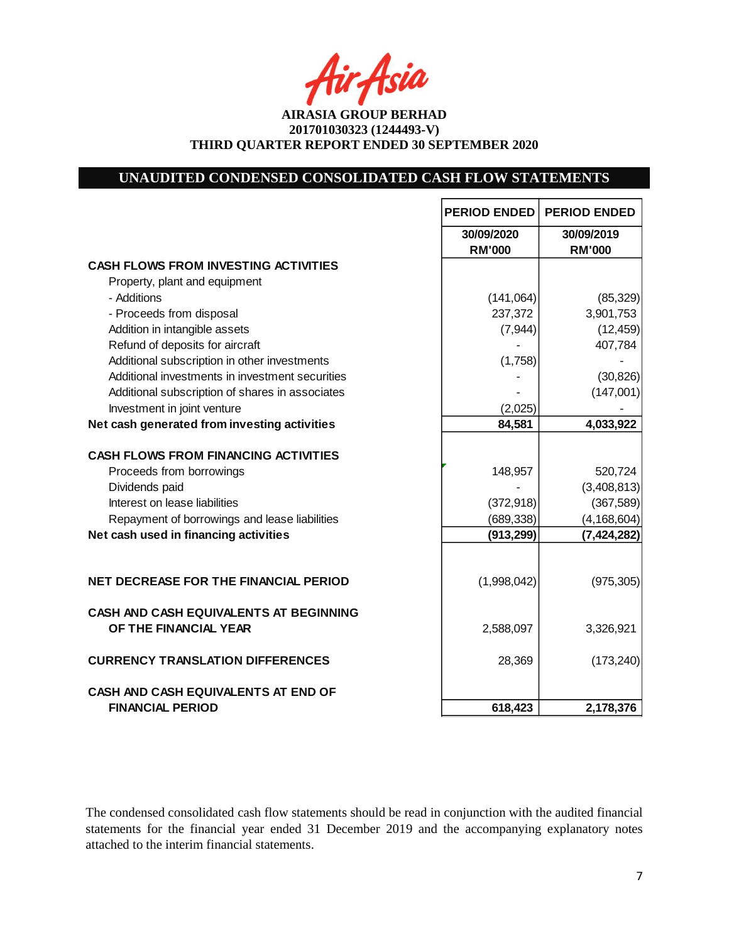Asia

**AIRASIA GROUP BERHAD 201701030323 (1244493-V) THIRD QUARTER REPORT ENDED 30 SEPTEMBER 2020**

# **UNAUDITED CONDENSED CONSOLIDATED CASH FLOW STATEMENTS**

|                                                 | <b>PERIOD ENDED</b> | <b>PERIOD ENDED</b> |
|-------------------------------------------------|---------------------|---------------------|
|                                                 | 30/09/2020          | 30/09/2019          |
|                                                 | <b>RM'000</b>       | <b>RM'000</b>       |
| <b>CASH FLOWS FROM INVESTING ACTIVITIES</b>     |                     |                     |
| Property, plant and equipment                   |                     |                     |
| - Additions                                     | (141,064)           | (85, 329)           |
| - Proceeds from disposal                        | 237,372             | 3,901,753           |
| Addition in intangible assets                   | (7, 944)            | (12, 459)           |
| Refund of deposits for aircraft                 |                     | 407,784             |
| Additional subscription in other investments    | (1,758)             |                     |
| Additional investments in investment securities |                     | (30, 826)           |
| Additional subscription of shares in associates |                     | (147,001)           |
| Investment in joint venture                     | (2,025)             |                     |
| Net cash generated from investing activities    | 84,581              | 4,033,922           |
| <b>CASH FLOWS FROM FINANCING ACTIVITIES</b>     |                     |                     |
| Proceeds from borrowings                        | 148,957             | 520,724             |
| Dividends paid                                  |                     | (3,408,813)         |
| Interest on lease liabilities                   | (372, 918)          | (367, 589)          |
| Repayment of borrowings and lease liabilities   | (689, 338)          | (4, 168, 604)       |
| Net cash used in financing activities           | (913, 299)          | (7, 424, 282)       |
|                                                 |                     |                     |
| NET DECREASE FOR THE FINANCIAL PERIOD           | (1,998,042)         | (975, 305)          |
| <b>CASH AND CASH EQUIVALENTS AT BEGINNING</b>   |                     |                     |
| OF THE FINANCIAL YEAR                           | 2,588,097           | 3,326,921           |
| <b>CURRENCY TRANSLATION DIFFERENCES</b>         | 28,369              | (173, 240)          |
| CASH AND CASH EQUIVALENTS AT END OF             |                     |                     |
| <b>FINANCIAL PERIOD</b>                         | 618,423             | 2,178,376           |

The condensed consolidated cash flow statements should be read in conjunction with the audited financial statements for the financial year ended 31 December 2019 and the accompanying explanatory notes attached to the interim financial statements.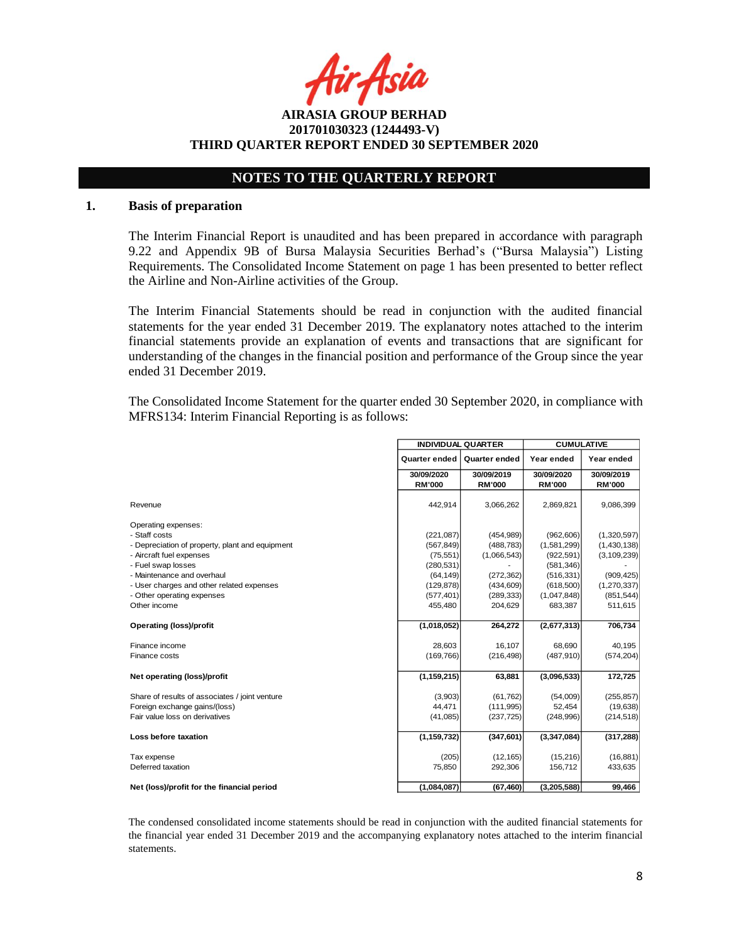Asia

**AIRASIA GROUP BERHAD 201701030323 (1244493-V) THIRD QUARTER REPORT ENDED 30 SEPTEMBER 2020**

# **NOTES TO THE QUARTERLY REPORT**

#### **1. Basis of preparation**

The Interim Financial Report is unaudited and has been prepared in accordance with paragraph 9.22 and Appendix 9B of Bursa Malaysia Securities Berhad's ("Bursa Malaysia") Listing Requirements. The Consolidated Income Statement on page 1 has been presented to better reflect the Airline and Non-Airline activities of the Group.

The Interim Financial Statements should be read in conjunction with the audited financial statements for the year ended 31 December 2019. The explanatory notes attached to the interim financial statements provide an explanation of events and transactions that are significant for understanding of the changes in the financial position and performance of the Group since the year ended 31 December 2019.

The Consolidated Income Statement for the quarter ended 30 September 2020, in compliance with MFRS134: Interim Financial Reporting is as follows:

|                                                 | <b>INDIVIDUAL QUARTER</b> |                      | <b>CUMULATIVE</b> |               |  |
|-------------------------------------------------|---------------------------|----------------------|-------------------|---------------|--|
|                                                 | <b>Quarter ended</b>      | <b>Quarter ended</b> | Year ended        | Year ended    |  |
|                                                 | 30/09/2020                | 30/09/2019           | 30/09/2020        | 30/09/2019    |  |
|                                                 | <b>RM'000</b>             | <b>RM'000</b>        | <b>RM'000</b>     | <b>RM'000</b> |  |
| Revenue                                         | 442.914                   | 3,066,262            | 2,869,821         | 9,086,399     |  |
| Operating expenses:                             |                           |                      |                   |               |  |
| - Staff costs                                   | (221, 087)                | (454, 989)           | (962, 606)        | (1,320,597)   |  |
| - Depreciation of property, plant and equipment | (567, 849)                | (488, 783)           | (1,581,299)       | (1,430,138)   |  |
| - Aircraft fuel expenses                        | (75, 551)                 | (1,066,543)          | (922, 591)        | (3, 109, 239) |  |
| - Fuel swap losses                              | (280, 531)                |                      | (581, 346)        |               |  |
| - Maintenance and overhaul                      | (64, 149)                 | (272, 362)           | (516, 331)        | (909, 425)    |  |
| - User charges and other related expenses       | (129, 878)                | (434, 609)           | (618,500)         | (1,270,337)   |  |
| - Other operating expenses                      | (577, 401)                | (289, 333)           | (1,047,848)       | (851, 544)    |  |
| Other income                                    | 455,480                   | 204,629              | 683,387           | 511,615       |  |
| <b>Operating (loss)/profit</b>                  | (1,018,052)               | 264,272              | (2,677,313)       | 706,734       |  |
| Finance income                                  | 28,603                    | 16,107               | 68,690            | 40,195        |  |
| Finance costs                                   | (169, 766)                | (216, 498)           | (487, 910)        | (574, 204)    |  |
| Net operating (loss)/profit                     | (1, 159, 215)             | 63,881               | (3,096,533)       | 172,725       |  |
| Share of results of associates / joint venture  | (3,903)                   | (61, 762)            | (54,009)          | (255, 857)    |  |
| Foreign exchange gains/(loss)                   | 44,471                    | (111, 995)           | 52,454            | (19, 638)     |  |
| Fair value loss on derivatives                  | (41,085)                  | (237, 725)           | (248,996)         | (214, 518)    |  |
| Loss before taxation                            | (1, 159, 732)             | (347, 601)           | (3,347,084)       | (317, 288)    |  |
| Tax expense                                     | (205)                     | (12, 165)            | (15,216)          | (16, 881)     |  |
| Deferred taxation                               | 75,850                    | 292,306              | 156,712           | 433,635       |  |
| Net (loss)/profit for the financial period      | (1,084,087)               | (67, 460)            | (3, 205, 588)     | 99,466        |  |

The condensed consolidated income statements should be read in conjunction with the audited financial statements for the financial year ended 31 December 2019 and the accompanying explanatory notes attached to the interim financial statements.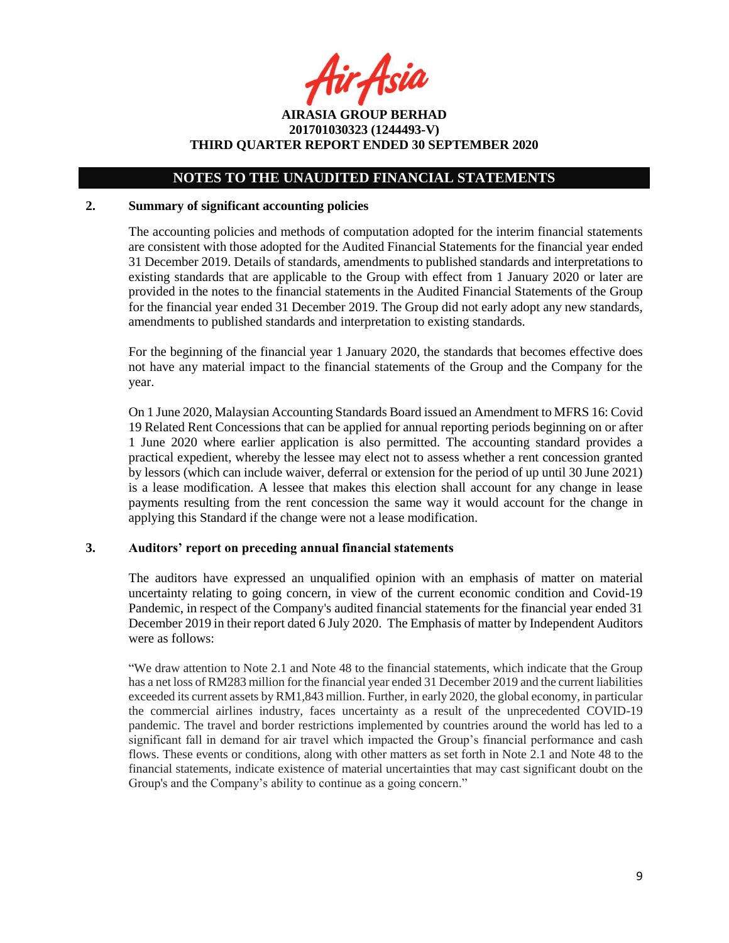fir<sub>t</sub>Asia

**AIRASIA GROUP BERHAD 201701030323 (1244493-V) THIRD QUARTER REPORT ENDED 30 SEPTEMBER 2020**

### **NOTES TO THE UNAUDITED FINANCIAL STATEMENTS**

#### **2. Summary of significant accounting policies**

The accounting policies and methods of computation adopted for the interim financial statements are consistent with those adopted for the Audited Financial Statements for the financial year ended 31 December 2019. Details of standards, amendments to published standards and interpretations to existing standards that are applicable to the Group with effect from 1 January 2020 or later are provided in the notes to the financial statements in the Audited Financial Statements of the Group for the financial year ended 31 December 2019. The Group did not early adopt any new standards, amendments to published standards and interpretation to existing standards.

For the beginning of the financial year 1 January 2020, the standards that becomes effective does not have any material impact to the financial statements of the Group and the Company for the year.

On 1 June 2020, Malaysian Accounting Standards Board issued an Amendment to MFRS 16: Covid 19 Related Rent Concessions that can be applied for annual reporting periods beginning on or after 1 June 2020 where earlier application is also permitted. The accounting standard provides a practical expedient, whereby the lessee may elect not to assess whether a rent concession granted by lessors (which can include waiver, deferral or extension for the period of up until 30 June 2021) is a lease modification. A lessee that makes this election shall account for any change in lease payments resulting from the rent concession the same way it would account for the change in applying this Standard if the change were not a lease modification.

#### **3. Auditors' report on preceding annual financial statements**

The auditors have expressed an unqualified opinion with an emphasis of matter on material uncertainty relating to going concern, in view of the current economic condition and Covid-19 Pandemic, in respect of the Company's audited financial statements for the financial year ended 31 December 2019 in their report dated 6 July 2020. The Emphasis of matter by Independent Auditors were as follows:

"We draw attention to Note 2.1 and Note 48 to the financial statements, which indicate that the Group has a net loss of RM283 million for the financial year ended 31 December 2019 and the current liabilities exceeded its current assets by RM1,843 million. Further, in early 2020, the global economy, in particular the commercial airlines industry, faces uncertainty as a result of the unprecedented COVID-19 pandemic. The travel and border restrictions implemented by countries around the world has led to a significant fall in demand for air travel which impacted the Group's financial performance and cash flows. These events or conditions, along with other matters as set forth in Note 2.1 and Note 48 to the financial statements, indicate existence of material uncertainties that may cast significant doubt on the Group's and the Company's ability to continue as a going concern."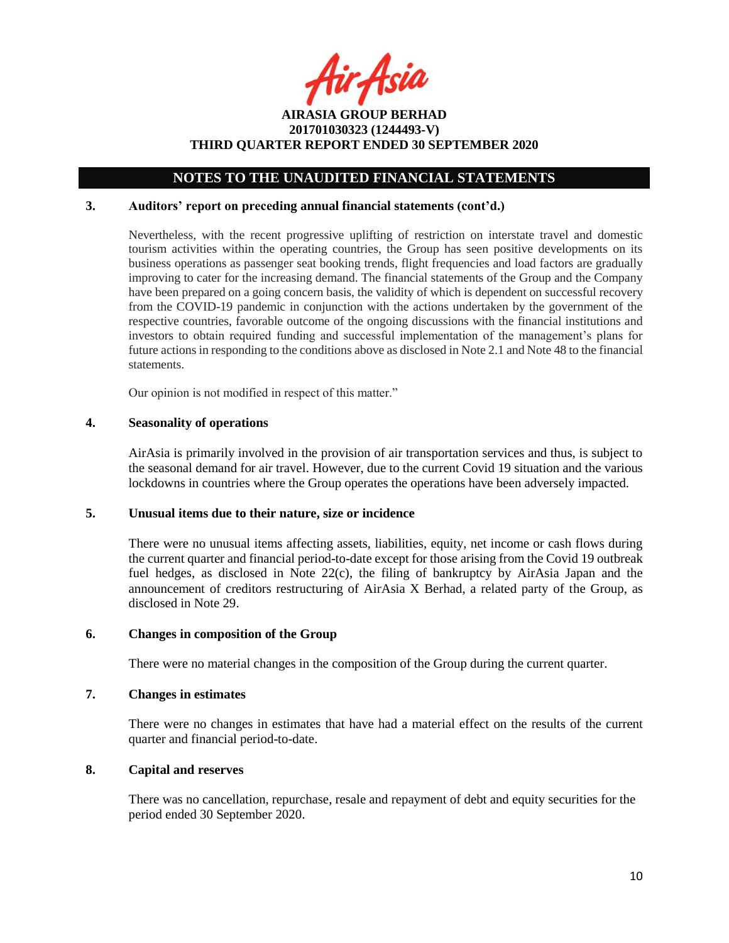fir Asia

### **NOTES TO THE UNAUDITED FINANCIAL STATEMENTS**

### **3. Auditors' report on preceding annual financial statements (cont'd.)**

Nevertheless, with the recent progressive uplifting of restriction on interstate travel and domestic tourism activities within the operating countries, the Group has seen positive developments on its business operations as passenger seat booking trends, flight frequencies and load factors are gradually improving to cater for the increasing demand. The financial statements of the Group and the Company have been prepared on a going concern basis, the validity of which is dependent on successful recovery from the COVID-19 pandemic in conjunction with the actions undertaken by the government of the respective countries, favorable outcome of the ongoing discussions with the financial institutions and investors to obtain required funding and successful implementation of the management's plans for future actions in responding to the conditions above as disclosed in Note 2.1 and Note 48 to the financial statements.

Our opinion is not modified in respect of this matter."

### **4. Seasonality of operations**

AirAsia is primarily involved in the provision of air transportation services and thus, is subject to the seasonal demand for air travel. However, due to the current Covid 19 situation and the various lockdowns in countries where the Group operates the operations have been adversely impacted.

#### **5. Unusual items due to their nature, size or incidence**

There were no unusual items affecting assets, liabilities, equity, net income or cash flows during the current quarter and financial period-to-date except for those arising from the Covid 19 outbreak fuel hedges, as disclosed in Note 22(c), the filing of bankruptcy by AirAsia Japan and the announcement of creditors restructuring of AirAsia X Berhad, a related party of the Group, as disclosed in Note 29.

#### **6. Changes in composition of the Group**

There were no material changes in the composition of the Group during the current quarter.

### **7. Changes in estimates**

There were no changes in estimates that have had a material effect on the results of the current quarter and financial period-to-date.

#### **8. Capital and reserves**

There was no cancellation, repurchase, resale and repayment of debt and equity securities for the period ended 30 September 2020.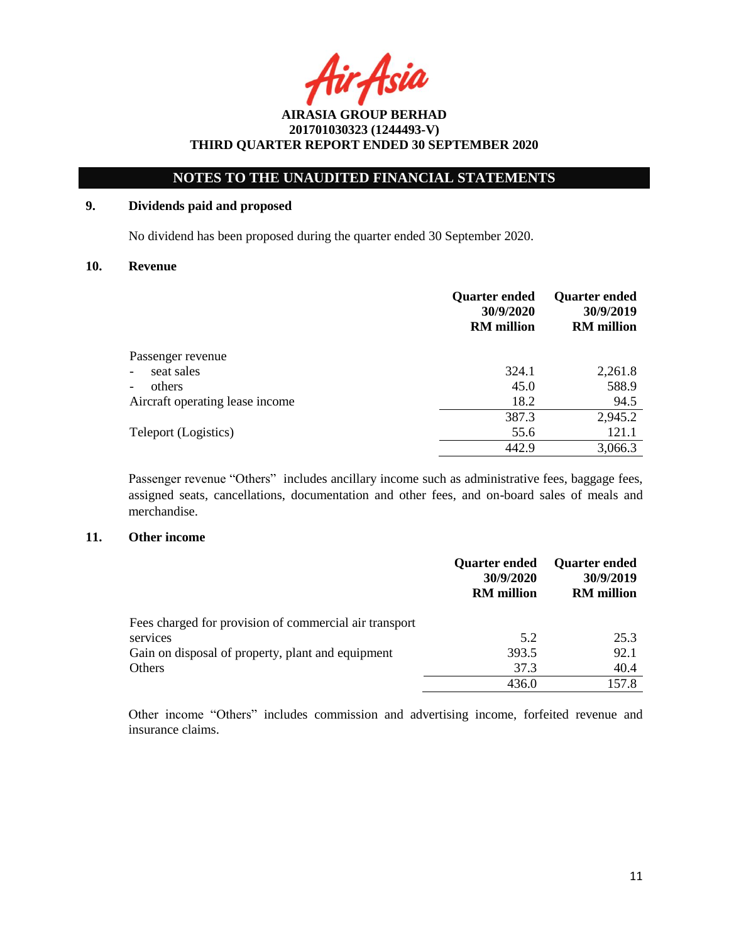Asia

# **NOTES TO THE UNAUDITED FINANCIAL STATEMENTS**

### **9. Dividends paid and proposed**

No dividend has been proposed during the quarter ended 30 September 2020.

#### **10. Revenue**

|                                        | <b>Quarter ended</b><br>30/9/2020<br><b>RM</b> million | <b>Quarter ended</b><br>30/9/2019<br><b>RM</b> million |
|----------------------------------------|--------------------------------------------------------|--------------------------------------------------------|
| Passenger revenue                      |                                                        |                                                        |
| seat sales<br>$\overline{a}$           | 324.1                                                  | 2,261.8                                                |
| others<br>$\qquad \qquad \blacksquare$ | 45.0                                                   | 588.9                                                  |
| Aircraft operating lease income        | 18.2                                                   | 94.5                                                   |
|                                        | 387.3                                                  | 2,945.2                                                |
| Teleport (Logistics)                   | 55.6                                                   | 121.1                                                  |
|                                        | 442.9                                                  | 3,066.3                                                |

Passenger revenue "Others" includes ancillary income such as administrative fees, baggage fees, assigned seats, cancellations, documentation and other fees, and on-board sales of meals and merchandise.

## **11. Other income**

|                                                        | <b>Quarter ended</b><br>30/9/2020<br><b>RM</b> million | <b>Quarter ended</b><br>30/9/2019<br><b>RM</b> million |
|--------------------------------------------------------|--------------------------------------------------------|--------------------------------------------------------|
| Fees charged for provision of commercial air transport |                                                        |                                                        |
| services                                               | 5.2                                                    | 25.3                                                   |
| Gain on disposal of property, plant and equipment      | 393.5                                                  | 92.1                                                   |
| Others                                                 | 37.3                                                   | 40.4                                                   |
|                                                        | 436.0                                                  | 157.8                                                  |

Other income "Others" includes commission and advertising income, forfeited revenue and insurance claims.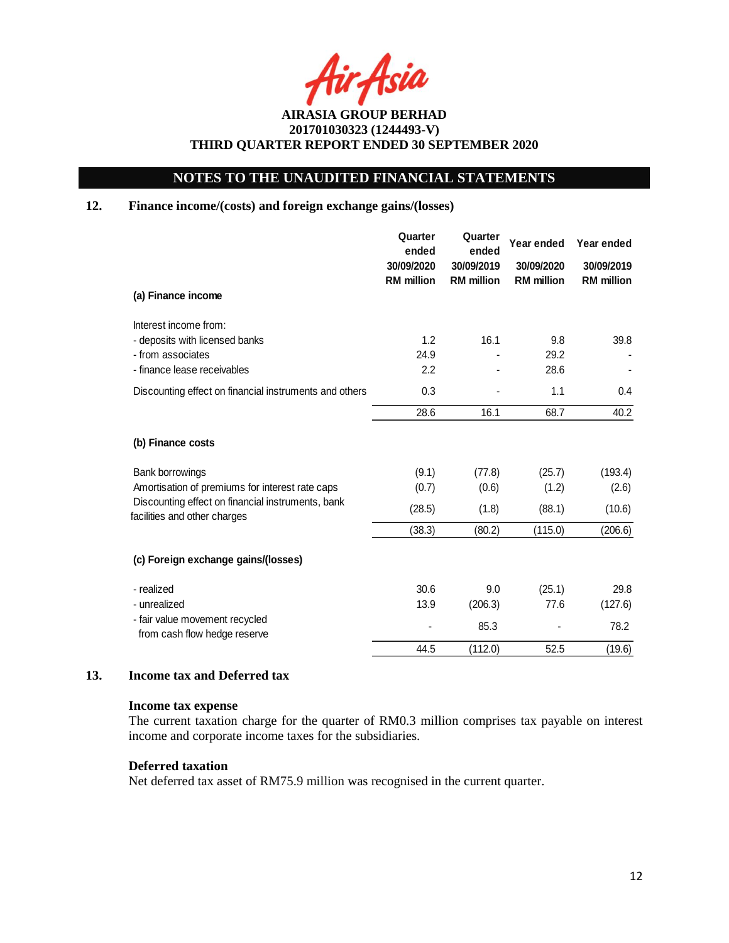Asia

# **NOTES TO THE UNAUDITED FINANCIAL STATEMENTS**

## **12. Finance income/(costs) and foreign exchange gains/(losses)**

|                                                                                   | Quarter<br>ended<br>30/09/2020<br><b>RM</b> million | Quarter<br>ended<br>30/09/2019<br><b>RM</b> million | Year ended<br>30/09/2020<br><b>RM</b> million | Year ended<br>30/09/2019<br><b>RM</b> million |
|-----------------------------------------------------------------------------------|-----------------------------------------------------|-----------------------------------------------------|-----------------------------------------------|-----------------------------------------------|
| (a) Finance income                                                                |                                                     |                                                     |                                               |                                               |
| Interest income from:                                                             |                                                     |                                                     |                                               |                                               |
| - deposits with licensed banks                                                    | 1.2                                                 | 16.1                                                | 9.8                                           | 39.8                                          |
| - from associates                                                                 | 24.9                                                |                                                     | 29.2                                          |                                               |
| - finance lease receivables                                                       | 2.2                                                 |                                                     | 28.6                                          |                                               |
| Discounting effect on financial instruments and others                            | 0.3                                                 |                                                     | 1.1                                           | 0.4                                           |
|                                                                                   | 28.6                                                | 16.1                                                | 68.7                                          | 40.2                                          |
| (b) Finance costs                                                                 |                                                     |                                                     |                                               |                                               |
| Bank borrowings                                                                   | (9.1)                                               | (77.8)                                              | (25.7)                                        | (193.4)                                       |
| Amortisation of premiums for interest rate caps                                   | (0.7)                                               | (0.6)                                               | (1.2)                                         | (2.6)                                         |
| Discounting effect on financial instruments, bank<br>facilities and other charges | (28.5)                                              | (1.8)                                               | (88.1)                                        | (10.6)                                        |
|                                                                                   | (38.3)                                              | (80.2)                                              | (115.0)                                       | (206.6)                                       |
| (c) Foreign exchange gains/(losses)                                               |                                                     |                                                     |                                               |                                               |
| - realized                                                                        | 30.6                                                | 9.0                                                 | (25.1)                                        | 29.8                                          |
| - unrealized                                                                      | 13.9                                                | (206.3)                                             | 77.6                                          | (127.6)                                       |
| - fair value movement recycled<br>from cash flow hedge reserve                    |                                                     | 85.3                                                |                                               | 78.2                                          |
|                                                                                   | 44.5                                                | (112.0)                                             | 52.5                                          | (19.6)                                        |

### **13. Income tax and Deferred tax**

#### **Income tax expense**

The current taxation charge for the quarter of RM0.3 million comprises tax payable on interest income and corporate income taxes for the subsidiaries.

### **Deferred taxation**

Net deferred tax asset of RM75.9 million was recognised in the current quarter.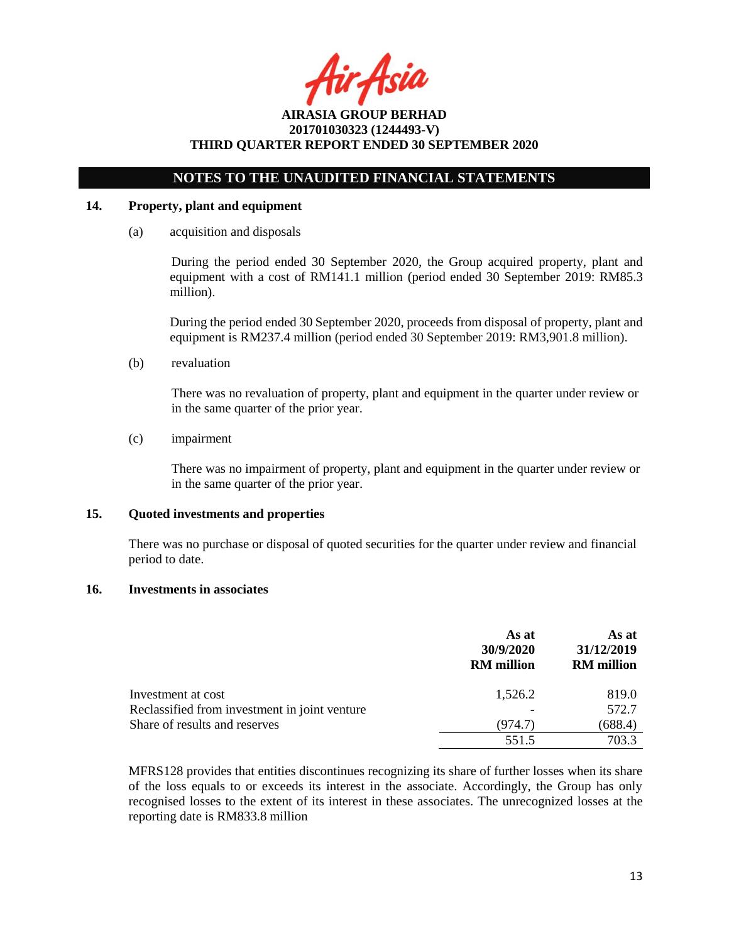tir Asia

## **NOTES TO THE UNAUDITED FINANCIAL STATEMENTS**

### **14. Property, plant and equipment**

(a) acquisition and disposals

During the period ended 30 September 2020, the Group acquired property, plant and equipment with a cost of RM141.1 million (period ended 30 September 2019: RM85.3 million).

During the period ended 30 September 2020, proceeds from disposal of property, plant and equipment is RM237.4 million (period ended 30 September 2019: RM3,901.8 million).

(b) revaluation

There was no revaluation of property, plant and equipment in the quarter under review or in the same quarter of the prior year.

(c) impairment

There was no impairment of property, plant and equipment in the quarter under review or in the same quarter of the prior year.

### **15. Quoted investments and properties**

There was no purchase or disposal of quoted securities for the quarter under review and financial period to date.

### **16. Investments in associates**

|                                               | As at<br>30/9/2020<br><b>RM</b> million | As at<br>31/12/2019<br><b>RM</b> million |
|-----------------------------------------------|-----------------------------------------|------------------------------------------|
| Investment at cost                            | 1,526.2                                 | 819.0                                    |
| Reclassified from investment in joint venture |                                         | 572.7                                    |
| Share of results and reserves                 | (974.7)                                 | (688.4)                                  |
|                                               | 551.5                                   | 703.3                                    |

MFRS128 provides that entities discontinues recognizing its share of further losses when its share of the loss equals to or exceeds its interest in the associate. Accordingly, the Group has only recognised losses to the extent of its interest in these associates. The unrecognized losses at the reporting date is RM833.8 million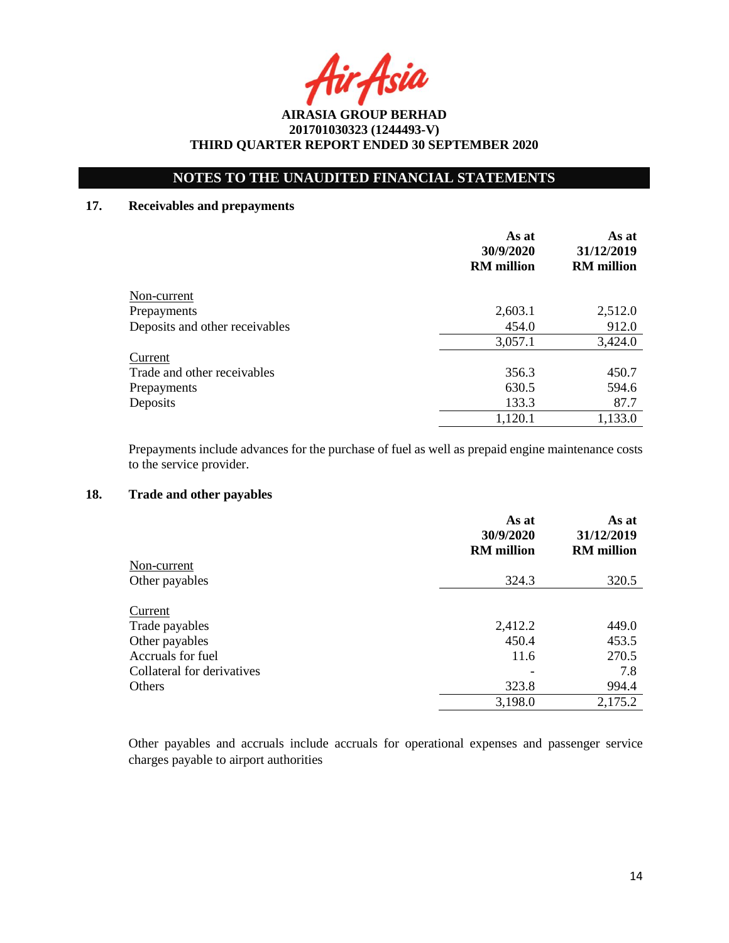Asia

# **NOTES TO THE UNAUDITED FINANCIAL STATEMENTS**

### **17. Receivables and prepayments**

|                                | As at<br>30/9/2020<br><b>RM</b> million | As at<br>31/12/2019<br><b>RM</b> million |
|--------------------------------|-----------------------------------------|------------------------------------------|
| Non-current                    |                                         |                                          |
| Prepayments                    | 2,603.1                                 | 2,512.0                                  |
| Deposits and other receivables | 454.0                                   | 912.0                                    |
|                                | 3,057.1                                 | 3,424.0                                  |
| Current                        |                                         |                                          |
| Trade and other receivables    | 356.3                                   | 450.7                                    |
| Prepayments                    | 630.5                                   | 594.6                                    |
| Deposits                       | 133.3                                   | 87.7                                     |
|                                | 1,120.1                                 | 1,133.0                                  |

Prepayments include advances for the purchase of fuel as well as prepaid engine maintenance costs to the service provider.

### **18. Trade and other payables**

|                            | As at<br>30/9/2020<br><b>RM</b> million | As at<br>31/12/2019<br><b>RM</b> million |
|----------------------------|-----------------------------------------|------------------------------------------|
| Non-current                |                                         |                                          |
| Other payables             | 324.3                                   | 320.5                                    |
| Current                    |                                         |                                          |
| Trade payables             | 2,412.2                                 | 449.0                                    |
| Other payables             | 450.4                                   | 453.5                                    |
| Accruals for fuel          | 11.6                                    | 270.5                                    |
| Collateral for derivatives |                                         | 7.8                                      |
| Others                     | 323.8                                   | 994.4                                    |
|                            | 3,198.0                                 | 2,175.2                                  |

Other payables and accruals include accruals for operational expenses and passenger service charges payable to airport authorities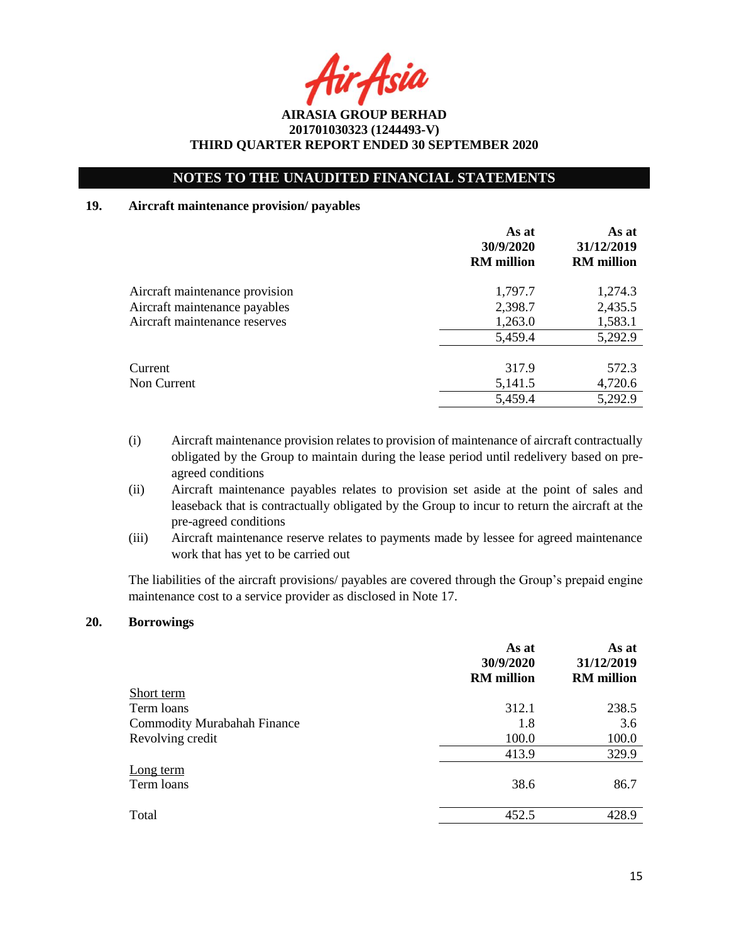r Asia

# **NOTES TO THE UNAUDITED FINANCIAL STATEMENTS**

### **19. Aircraft maintenance provision/ payables**

|                                | As at<br>30/9/2020<br><b>RM</b> million | As at<br>31/12/2019<br><b>RM</b> million |
|--------------------------------|-----------------------------------------|------------------------------------------|
| Aircraft maintenance provision | 1,797.7                                 | 1,274.3                                  |
| Aircraft maintenance payables  | 2,398.7                                 | 2,435.5                                  |
| Aircraft maintenance reserves  | 1,263.0                                 | 1,583.1                                  |
|                                | 5,459.4                                 | 5,292.9                                  |
| Current                        | 317.9                                   | 572.3                                    |
| Non Current                    | 5,141.5                                 | 4,720.6                                  |
|                                | 5,459.4                                 | 5,292.9                                  |

- (i) Aircraft maintenance provision relates to provision of maintenance of aircraft contractually obligated by the Group to maintain during the lease period until redelivery based on preagreed conditions
- (ii) Aircraft maintenance payables relates to provision set aside at the point of sales and leaseback that is contractually obligated by the Group to incur to return the aircraft at the pre-agreed conditions
- (iii) Aircraft maintenance reserve relates to payments made by lessee for agreed maintenance work that has yet to be carried out

The liabilities of the aircraft provisions/ payables are covered through the Group's prepaid engine maintenance cost to a service provider as disclosed in Note 17.

## **20. Borrowings**

|                                    | As at<br>30/9/2020<br><b>RM</b> million | As at<br>31/12/2019<br><b>RM</b> million |
|------------------------------------|-----------------------------------------|------------------------------------------|
| Short term                         |                                         |                                          |
| Term loans                         | 312.1                                   | 238.5                                    |
| <b>Commodity Murabahah Finance</b> | 1.8                                     | 3.6                                      |
| Revolving credit                   | 100.0                                   | 100.0                                    |
|                                    | 413.9                                   | 329.9                                    |
| Long term<br>Term loans            | 38.6                                    | 86.7                                     |
| Total                              | 452.5                                   | 428.9                                    |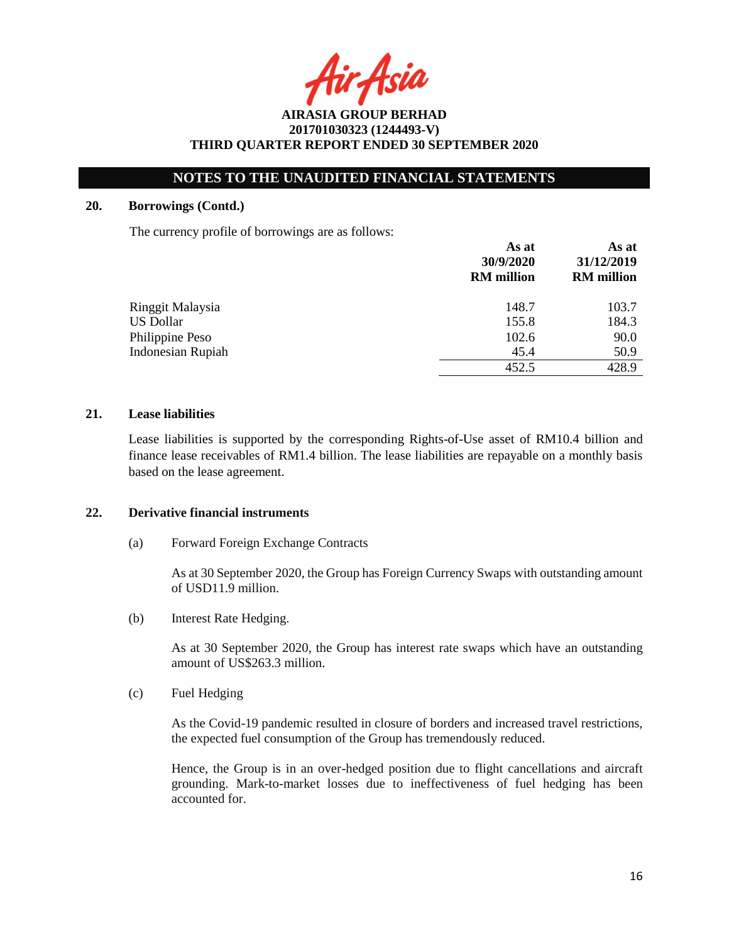ir Asia

# **NOTES TO THE UNAUDITED FINANCIAL STATEMENTS**

#### **20. Borrowings (Contd.)**

The currency profile of borrowings are as follows:

|                          | As at<br>30/9/2020<br><b>RM</b> million | As at<br>31/12/2019<br><b>RM</b> million |
|--------------------------|-----------------------------------------|------------------------------------------|
| Ringgit Malaysia         | 148.7                                   | 103.7                                    |
| <b>US Dollar</b>         | 155.8                                   | 184.3                                    |
| Philippine Peso          | 102.6                                   | 90.0                                     |
| <b>Indonesian Rupiah</b> | 45.4                                    | 50.9                                     |
|                          | 452.5                                   | 428.9                                    |

## **21. Lease liabilities**

Lease liabilities is supported by the corresponding Rights-of-Use asset of RM10.4 billion and finance lease receivables of RM1.4 billion. The lease liabilities are repayable on a monthly basis based on the lease agreement.

#### **22. Derivative financial instruments**

(a) Forward Foreign Exchange Contracts

As at 30 September 2020, the Group has Foreign Currency Swaps with outstanding amount of USD11.9 million.

(b) Interest Rate Hedging.

As at 30 September 2020, the Group has interest rate swaps which have an outstanding amount of US\$263.3 million.

(c) Fuel Hedging

As the Covid-19 pandemic resulted in closure of borders and increased travel restrictions, the expected fuel consumption of the Group has tremendously reduced.

Hence, the Group is in an over-hedged position due to flight cancellations and aircraft grounding. Mark-to-market losses due to ineffectiveness of fuel hedging has been accounted for.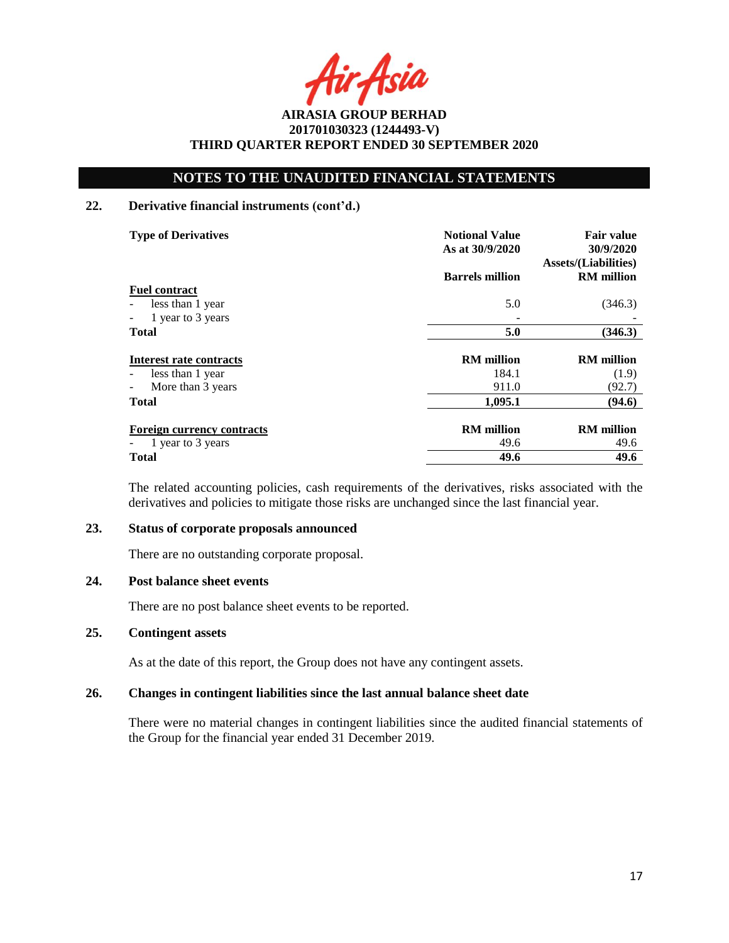Asia

# **NOTES TO THE UNAUDITED FINANCIAL STATEMENTS**

### **22. Derivative financial instruments (cont'd.)**

| <b>Type of Derivatives</b>                    | <b>Notional Value</b><br>As at 30/9/2020 | <b>Fair value</b><br>30/9/2020<br><b>Assets/(Liabilities)</b> |
|-----------------------------------------------|------------------------------------------|---------------------------------------------------------------|
|                                               | <b>Barrels million</b>                   | <b>RM</b> million                                             |
| <b>Fuel contract</b>                          |                                          |                                                               |
| less than 1 year<br>$\overline{\phantom{a}}$  | 5.0                                      | (346.3)                                                       |
| 1 year to 3 years<br>$\overline{\phantom{a}}$ |                                          |                                                               |
| <b>Total</b>                                  | 5.0                                      | (346.3)                                                       |
|                                               |                                          |                                                               |
| Interest rate contracts                       | <b>RM</b> million                        | <b>RM</b> million                                             |
| less than 1 year                              | 184.1                                    | (1.9)                                                         |
| More than 3 years<br>$\overline{\phantom{a}}$ | 911.0                                    | (92.7)                                                        |
| <b>Total</b>                                  | 1,095.1                                  | (94.6)                                                        |
|                                               |                                          |                                                               |
| <b>Foreign currency contracts</b>             | <b>RM</b> million                        | <b>RM</b> million                                             |
| 1 year to 3 years                             | 49.6                                     | 49.6                                                          |
| Total                                         | 49.6                                     | 49.6                                                          |

The related accounting policies, cash requirements of the derivatives, risks associated with the derivatives and policies to mitigate those risks are unchanged since the last financial year.

#### **23. Status of corporate proposals announced**

There are no outstanding corporate proposal.

### **24. Post balance sheet events**

There are no post balance sheet events to be reported.

#### **25. Contingent assets**

As at the date of this report, the Group does not have any contingent assets.

### **26. Changes in contingent liabilities since the last annual balance sheet date**

There were no material changes in contingent liabilities since the audited financial statements of the Group for the financial year ended 31 December 2019.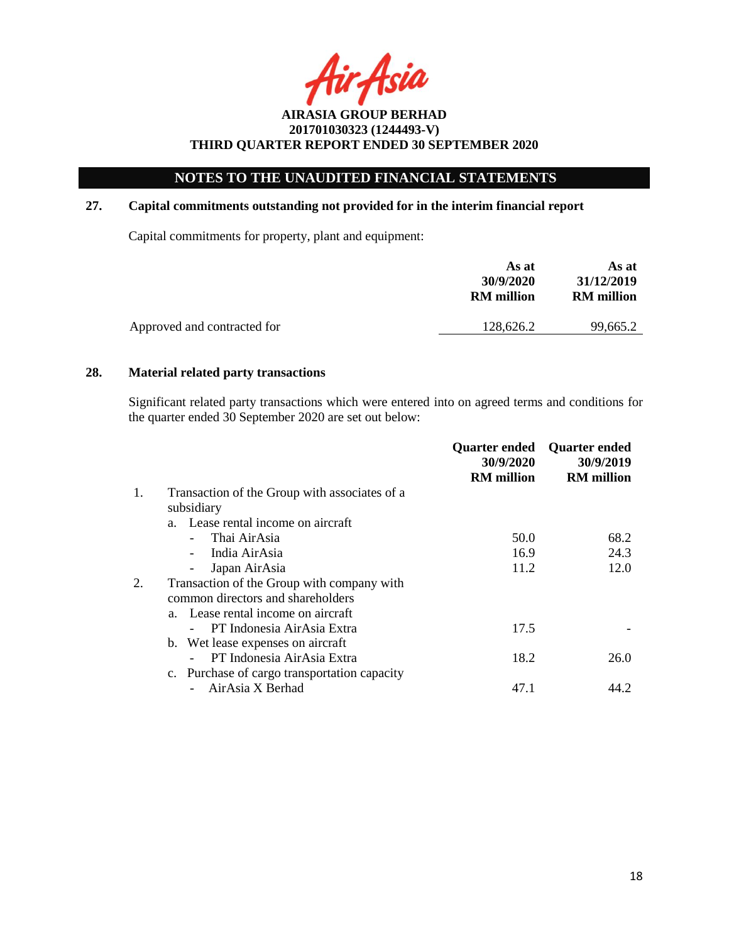# **NOTES TO THE UNAUDITED FINANCIAL STATEMENTS**

## **27. Capital commitments outstanding not provided for in the interim financial report**

Capital commitments for property, plant and equipment:

| As at<br>30/9/2020<br><b>RM</b> million | As at<br>31/12/2019<br><b>RM</b> million |
|-----------------------------------------|------------------------------------------|
| 128,626.2                               | 99.665.2                                 |
|                                         |                                          |

### **28. Material related party transactions**

Significant related party transactions which were entered into on agreed terms and conditions for the quarter ended 30 September 2020 are set out below:

|                                               | Quarter ended<br>30/9/2020                                                        | <b>Quarter ended</b><br>30/9/2019 |
|-----------------------------------------------|-----------------------------------------------------------------------------------|-----------------------------------|
|                                               |                                                                                   | <b>RM</b> million                 |
| Transaction of the Group with associates of a |                                                                                   |                                   |
| subsidiary                                    |                                                                                   |                                   |
| a. Lease rental income on aircraft            |                                                                                   |                                   |
| Thai AirAsia                                  | 50.0                                                                              | 68.2                              |
| India AirAsia                                 | 16.9                                                                              | 24.3                              |
| Japan AirAsia                                 | 11.2                                                                              | 12.0                              |
| Transaction of the Group with company with    |                                                                                   |                                   |
| common directors and shareholders             |                                                                                   |                                   |
| a. Lease rental income on aircraft            |                                                                                   |                                   |
| PT Indonesia AirAsia Extra                    | 17.5                                                                              |                                   |
|                                               |                                                                                   |                                   |
| PT Indonesia AirAsia Extra                    | 18.2                                                                              | 26.0                              |
|                                               |                                                                                   |                                   |
| AirAsia X Berhad                              | 47.1                                                                              | 44.2                              |
|                                               | b. Wet lease expenses on aircraft<br>c. Purchase of cargo transportation capacity | <b>RM</b> million                 |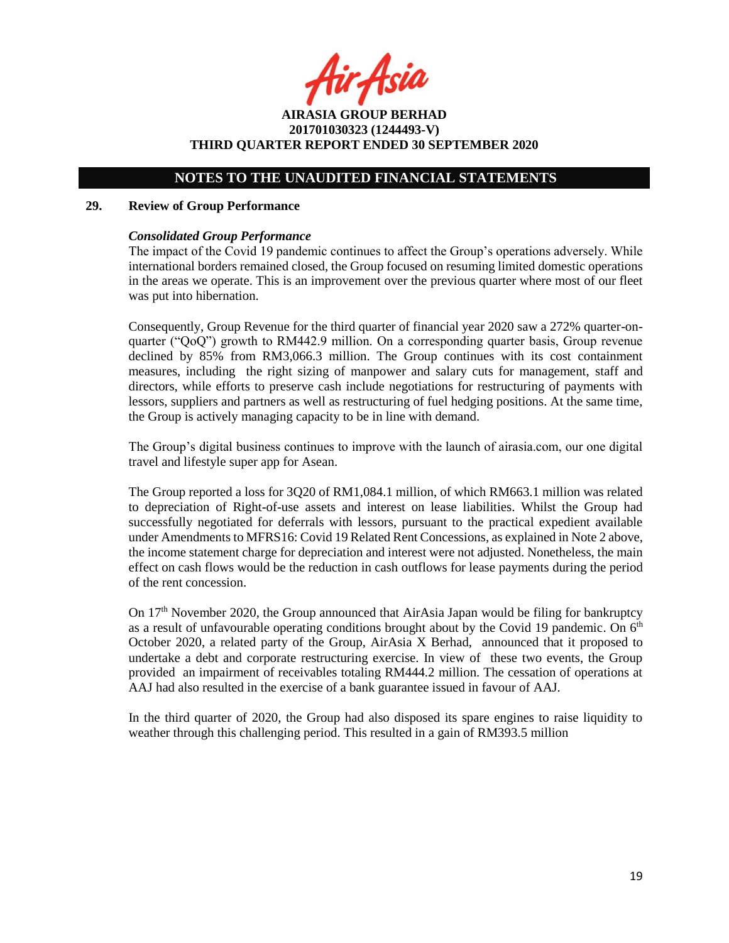fir Asia

**AIRASIA GROUP BERHAD 201701030323 (1244493-V) THIRD QUARTER REPORT ENDED 30 SEPTEMBER 2020**

## **NOTES TO THE UNAUDITED FINANCIAL STATEMENTS**

#### **29. Review of Group Performance**

#### *Consolidated Group Performance*

The impact of the Covid 19 pandemic continues to affect the Group's operations adversely. While international borders remained closed, the Group focused on resuming limited domestic operations in the areas we operate. This is an improvement over the previous quarter where most of our fleet was put into hibernation.

Consequently, Group Revenue for the third quarter of financial year 2020 saw a 272% quarter-onquarter ("QoQ") growth to RM442.9 million. On a corresponding quarter basis, Group revenue declined by 85% from RM3,066.3 million. The Group continues with its cost containment measures, including the right sizing of manpower and salary cuts for management, staff and directors, while efforts to preserve cash include negotiations for restructuring of payments with lessors, suppliers and partners as well as restructuring of fuel hedging positions. At the same time, the Group is actively managing capacity to be in line with demand.

The Group's digital business continues to improve with the launch of airasia.com, our one digital travel and lifestyle super app for Asean.

The Group reported a loss for 3Q20 of RM1,084.1 million, of which RM663.1 million was related to depreciation of Right-of-use assets and interest on lease liabilities. Whilst the Group had successfully negotiated for deferrals with lessors, pursuant to the practical expedient available under Amendments to MFRS16: Covid 19 Related Rent Concessions, as explained in Note 2 above, the income statement charge for depreciation and interest were not adjusted. Nonetheless, the main effect on cash flows would be the reduction in cash outflows for lease payments during the period of the rent concession.

On 17<sup>th</sup> November 2020, the Group announced that AirAsia Japan would be filing for bankruptcy as a result of unfavourable operating conditions brought about by the Covid 19 pandemic. On  $6<sup>th</sup>$ October 2020, a related party of the Group, AirAsia X Berhad, announced that it proposed to undertake a debt and corporate restructuring exercise. In view of these two events, the Group provided an impairment of receivables totaling RM444.2 million. The cessation of operations at AAJ had also resulted in the exercise of a bank guarantee issued in favour of AAJ.

In the third quarter of 2020, the Group had also disposed its spare engines to raise liquidity to weather through this challenging period. This resulted in a gain of RM393.5 million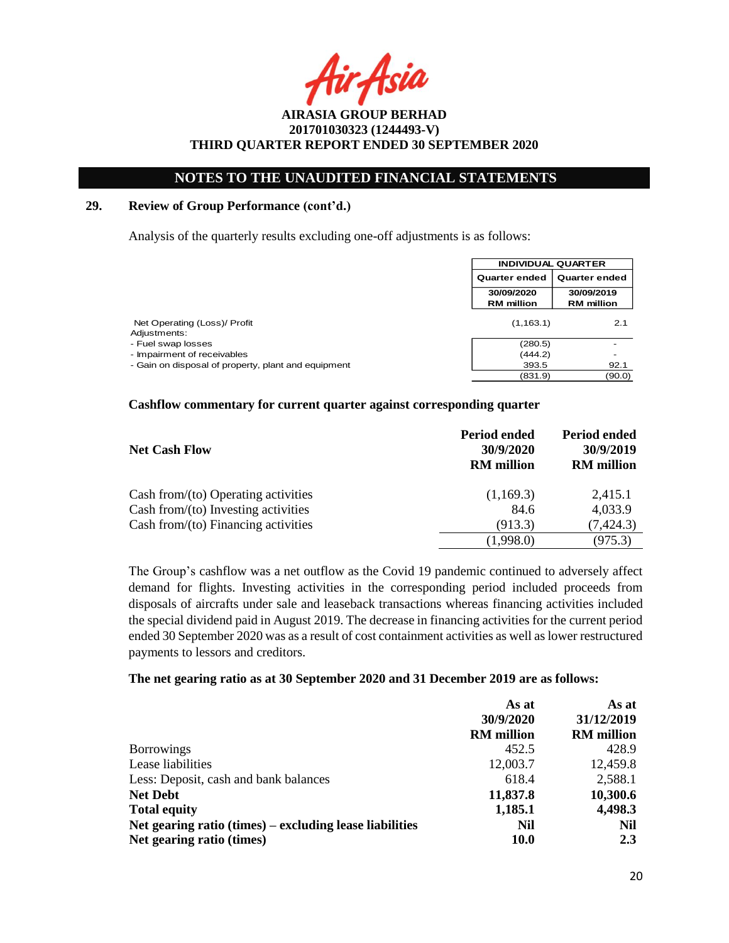Asia

# **NOTES TO THE UNAUDITED FINANCIAL STATEMENTS**

### **29. Review of Group Performance (cont'd.)**

Analysis of the quarterly results excluding one-off adjustments is as follows:

|                                                     | <b>INDIVIDUAL QUARTER</b>             |                   |
|-----------------------------------------------------|---------------------------------------|-------------------|
|                                                     | <b>Quarter ended</b><br>Quarter ended |                   |
|                                                     | 30/09/2020                            | 30/09/2019        |
|                                                     | <b>RM</b> million                     | <b>RM</b> million |
| Net Operating (Loss)/ Profit<br>Adjustments:        | (1, 163.1)                            | 2.1               |
| - Fuel swap losses                                  | (280.5)                               |                   |
| - Impairment of receivables                         | (444.2)                               |                   |
| - Gain on disposal of property, plant and equipment | 393.5                                 | 92.1              |
|                                                     | (831.9)                               | (90.0)            |

#### **Cashflow commentary for current quarter against corresponding quarter**

| <b>Net Cash Flow</b>                   | Period ended<br>30/9/2020<br><b>RM</b> million | <b>Period ended</b><br>30/9/2019<br><b>RM</b> million |
|----------------------------------------|------------------------------------------------|-------------------------------------------------------|
| Cash from/ $(to)$ Operating activities | (1,169.3)                                      | 2,415.1                                               |
| Cash from/(to) Investing activities    | 84.6                                           | 4,033.9                                               |
| Cash from/ $(to)$ Financing activities | (913.3)                                        | (7, 424.3)                                            |
|                                        | (1,998.0)                                      | (975.3)                                               |

The Group's cashflow was a net outflow as the Covid 19 pandemic continued to adversely affect demand for flights. Investing activities in the corresponding period included proceeds from disposals of aircrafts under sale and leaseback transactions whereas financing activities included the special dividend paid in August 2019. The decrease in financing activities for the current period ended 30 September 2020 was as a result of cost containment activities as well as lower restructured payments to lessors and creditors.

#### **The net gearing ratio as at 30 September 2020 and 31 December 2019 are as follows:**

|                                                         | As at             | As at             |
|---------------------------------------------------------|-------------------|-------------------|
|                                                         | 30/9/2020         | 31/12/2019        |
|                                                         | <b>RM</b> million | <b>RM</b> million |
| <b>Borrowings</b>                                       | 452.5             | 428.9             |
| Lease liabilities                                       | 12,003.7          | 12,459.8          |
| Less: Deposit, cash and bank balances                   | 618.4             | 2,588.1           |
| <b>Net Debt</b>                                         | 11,837.8          | 10,300.6          |
| <b>Total equity</b>                                     | 1,185.1           | 4,498.3           |
| Net gearing ratio (times) – excluding lease liabilities | Nil               | Nil               |
| Net gearing ratio (times)                               | <b>10.0</b>       | 2.3               |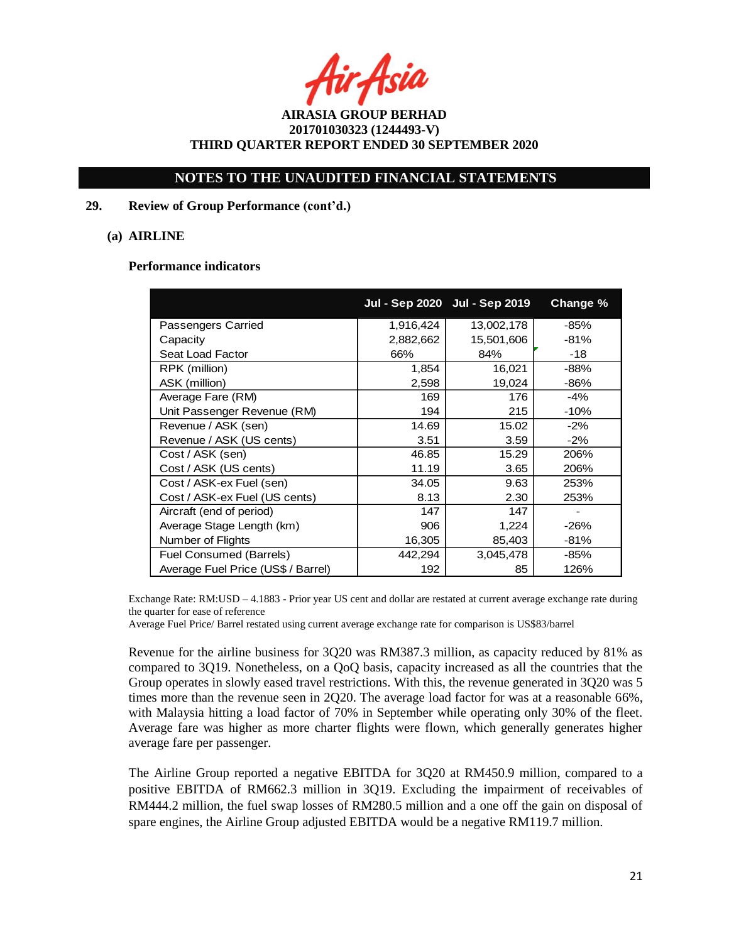## **NOTES TO THE UNAUDITED FINANCIAL STATEMENTS**

### **29. Review of Group Performance (cont'd.)**

### **(a) AIRLINE**

#### **Performance indicators**

|                                    |           | Jul - Sep 2020 Jul - Sep 2019 | Change % |
|------------------------------------|-----------|-------------------------------|----------|
| <b>Passengers Carried</b>          | 1,916,424 | 13,002,178                    | $-85%$   |
| Capacity                           | 2,882,662 | 15,501,606                    | -81%     |
| Seat Load Factor                   | 66%       | 84%                           | -18      |
| RPK (million)                      | 1,854     | 16,021                        | $-88%$   |
| ASK (million)                      | 2,598     | 19,024                        | -86%     |
| Average Fare (RM)                  | 169       | 176                           | $-4%$    |
| Unit Passenger Revenue (RM)        | 194       | 215                           | $-10%$   |
| Revenue / ASK (sen)                | 14.69     | 15.02                         | $-2%$    |
| Revenue / ASK (US cents)           | 3.51      | 3.59                          | $-2%$    |
| Cost / ASK (sen)                   | 46.85     | 15.29                         | 206%     |
| Cost / ASK (US cents)              | 11.19     | 3.65                          | 206%     |
| Cost / ASK-ex Fuel (sen)           | 34.05     | 9.63                          | 253%     |
| Cost / ASK-ex Fuel (US cents)      | 8.13      | 2.30                          | 253%     |
| Aircraft (end of period)           | 147       | 147                           |          |
| Average Stage Length (km)          | 906       | 1,224                         | -26%     |
| Number of Flights                  | 16,305    | 85,403                        | $-81%$   |
| Fuel Consumed (Barrels)            | 442,294   | 3,045,478                     | -85%     |
| Average Fuel Price (US\$ / Barrel) | 192       | 85                            | 126%     |

Exchange Rate: RM:USD – 4.1883 - Prior year US cent and dollar are restated at current average exchange rate during the quarter for ease of reference

Average Fuel Price/ Barrel restated using current average exchange rate for comparison is US\$83/barrel

Revenue for the airline business for 3Q20 was RM387.3 million, as capacity reduced by 81% as compared to 3Q19. Nonetheless, on a QoQ basis, capacity increased as all the countries that the Group operates in slowly eased travel restrictions. With this, the revenue generated in 3Q20 was 5 times more than the revenue seen in 2Q20. The average load factor for was at a reasonable 66%, with Malaysia hitting a load factor of 70% in September while operating only 30% of the fleet. Average fare was higher as more charter flights were flown, which generally generates higher average fare per passenger.

The Airline Group reported a negative EBITDA for 3Q20 at RM450.9 million, compared to a positive EBITDA of RM662.3 million in 3Q19. Excluding the impairment of receivables of RM444.2 million, the fuel swap losses of RM280.5 million and a one off the gain on disposal of spare engines, the Airline Group adjusted EBITDA would be a negative RM119.7 million.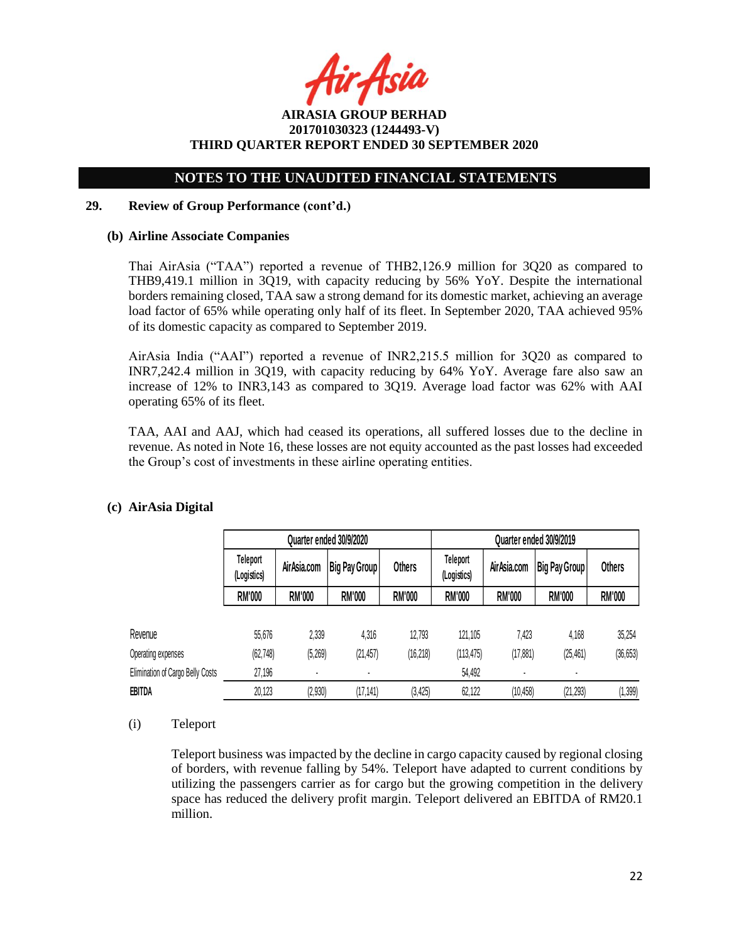ir Asia

# **NOTES TO THE UNAUDITED FINANCIAL STATEMENTS**

### **29. Review of Group Performance (cont'd.)**

### **(b) Airline Associate Companies**

Thai AirAsia ("TAA") reported a revenue of THB2,126.9 million for 3Q20 as compared to THB9,419.1 million in 3Q19, with capacity reducing by 56% YoY. Despite the international borders remaining closed, TAA saw a strong demand for its domestic market, achieving an average load factor of 65% while operating only half of its fleet. In September 2020, TAA achieved 95% of its domestic capacity as compared to September 2019.

AirAsia India ("AAI") reported a revenue of INR2,215.5 million for 3Q20 as compared to INR7,242.4 million in 3Q19, with capacity reducing by 64% YoY. Average fare also saw an increase of 12% to INR3,143 as compared to 3Q19. Average load factor was 62% with AAI operating 65% of its fleet.

TAA, AAI and AAJ, which had ceased its operations, all suffered losses due to the decline in revenue. As noted in Note 16, these losses are not equity accounted as the past losses had exceeded the Group's cost of investments in these airline operating entities.

|                                  | Quarter ended 30/9/2020 |               |               |               | Quarter ended 30/9/2019 |               |               |               |
|----------------------------------|-------------------------|---------------|---------------|---------------|-------------------------|---------------|---------------|---------------|
|                                  | Teleport<br>(Logistics) | Air Asia.com  | Big Pay Group | <b>Others</b> | Teleport<br>(Logistics) | AirAsia.com   | Big Pay Group | <b>Others</b> |
|                                  | <b>RM'000</b>           | <b>RM'000</b> | <b>RM'000</b> | <b>RM'000</b> | <b>RM'000</b>           | <b>RM'000</b> | <b>RM'000</b> | <b>RM'000</b> |
| Revenue                          | 55,676                  | 2,339         | 4,316         | 12,793        | 121,105                 | 7.423         | 4,168         | 35,254        |
| Operating expenses               | (62, 748)               | (5, 269)      | (21, 457)     | (16, 218)     | (113, 475)              | (17, 881)     | (25, 461)     | (36, 653)     |
| Elimination of Cargo Belly Costs | 27,196                  |               |               |               | 54,492                  |               |               |               |
| EBITDA                           | 20,123                  | (2,930)       | (17, 141)     | (3, 425)      | 62,122                  | (10, 458)     | (21, 293)     | (1, 399)      |

# **(c) AirAsia Digital**

### (i) Teleport

Teleport business was impacted by the decline in cargo capacity caused by regional closing of borders, with revenue falling by 54%. Teleport have adapted to current conditions by utilizing the passengers carrier as for cargo but the growing competition in the delivery space has reduced the delivery profit margin. Teleport delivered an EBITDA of RM20.1 million.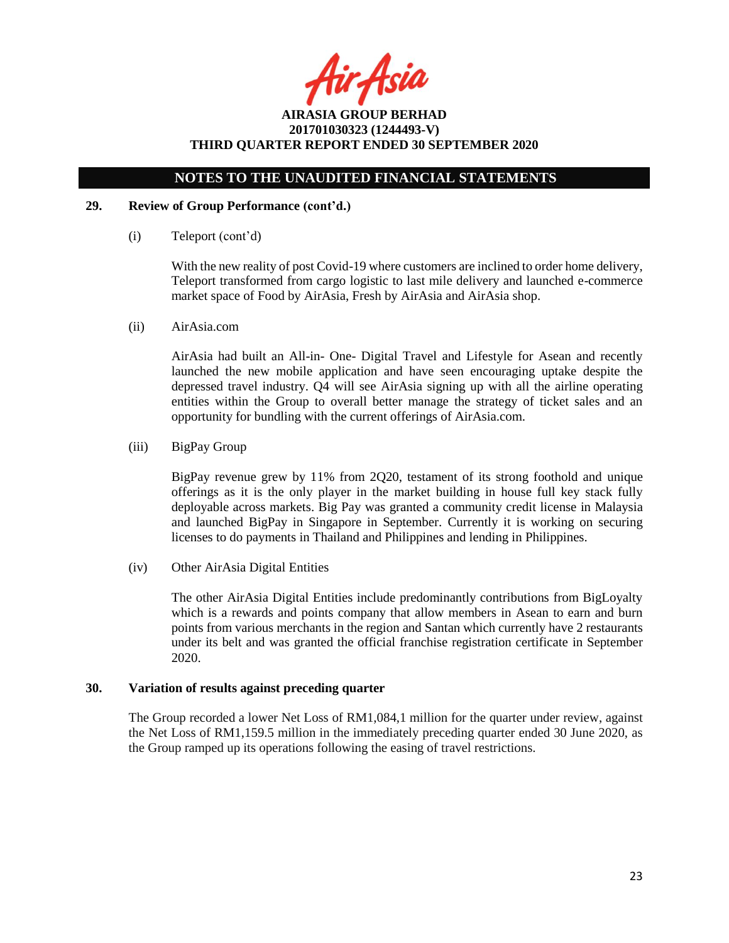fir Asia

# **NOTES TO THE UNAUDITED FINANCIAL STATEMENTS**

### **29. Review of Group Performance (cont'd.)**

(i) Teleport (cont'd)

With the new reality of post Covid-19 where customers are inclined to order home delivery, Teleport transformed from cargo logistic to last mile delivery and launched e-commerce market space of Food by AirAsia, Fresh by AirAsia and AirAsia shop.

(ii) AirAsia.com

AirAsia had built an All-in- One- Digital Travel and Lifestyle for Asean and recently launched the new mobile application and have seen encouraging uptake despite the depressed travel industry. Q4 will see AirAsia signing up with all the airline operating entities within the Group to overall better manage the strategy of ticket sales and an opportunity for bundling with the current offerings of AirAsia.com.

(iii) BigPay Group

BigPay revenue grew by 11% from 2Q20, testament of its strong foothold and unique offerings as it is the only player in the market building in house full key stack fully deployable across markets. Big Pay was granted a community credit license in Malaysia and launched BigPay in Singapore in September. Currently it is working on securing licenses to do payments in Thailand and Philippines and lending in Philippines.

(iv) Other AirAsia Digital Entities

The other AirAsia Digital Entities include predominantly contributions from BigLoyalty which is a rewards and points company that allow members in Asean to earn and burn points from various merchants in the region and Santan which currently have 2 restaurants under its belt and was granted the official franchise registration certificate in September 2020.

### **30. Variation of results against preceding quarter**

The Group recorded a lower Net Loss of RM1,084,1 million for the quarter under review, against the Net Loss of RM1,159.5 million in the immediately preceding quarter ended 30 June 2020, as the Group ramped up its operations following the easing of travel restrictions.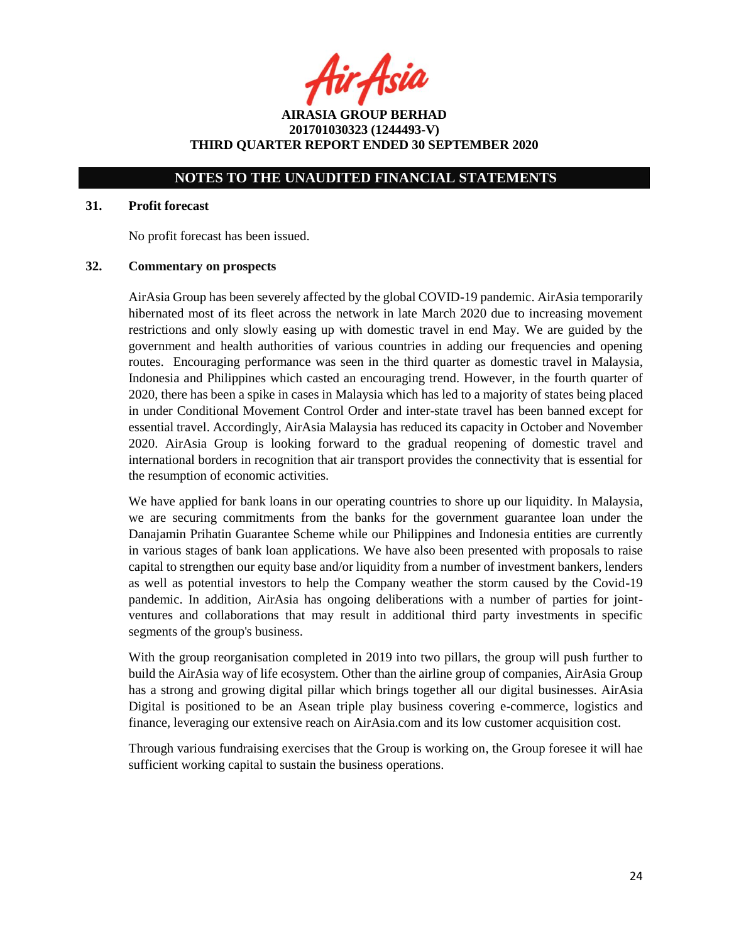fir Asia

**AIRASIA GROUP BERHAD 201701030323 (1244493-V) THIRD QUARTER REPORT ENDED 30 SEPTEMBER 2020**

## **NOTES TO THE UNAUDITED FINANCIAL STATEMENTS**

#### **31. Profit forecast**

No profit forecast has been issued.

### **32. Commentary on prospects**

AirAsia Group has been severely affected by the global COVID-19 pandemic. AirAsia temporarily hibernated most of its fleet across the network in late March 2020 due to increasing movement restrictions and only slowly easing up with domestic travel in end May. We are guided by the government and health authorities of various countries in adding our frequencies and opening routes. Encouraging performance was seen in the third quarter as domestic travel in Malaysia, Indonesia and Philippines which casted an encouraging trend. However, in the fourth quarter of 2020, there has been a spike in cases in Malaysia which has led to a majority of states being placed in under Conditional Movement Control Order and inter-state travel has been banned except for essential travel. Accordingly, AirAsia Malaysia has reduced its capacity in October and November 2020. AirAsia Group is looking forward to the gradual reopening of domestic travel and international borders in recognition that air transport provides the connectivity that is essential for the resumption of economic activities.

We have applied for bank loans in our operating countries to shore up our liquidity. In Malaysia, we are securing commitments from the banks for the government guarantee loan under the Danajamin Prihatin Guarantee Scheme while our Philippines and Indonesia entities are currently in various stages of bank loan applications. We have also been presented with proposals to raise capital to strengthen our equity base and/or liquidity from a number of investment bankers, lenders as well as potential investors to help the Company weather the storm caused by the Covid-19 pandemic. In addition, AirAsia has ongoing deliberations with a number of parties for jointventures and collaborations that may result in additional third party investments in specific segments of the group's business.

With the group reorganisation completed in 2019 into two pillars, the group will push further to build the AirAsia way of life ecosystem. Other than the airline group of companies, AirAsia Group has a strong and growing digital pillar which brings together all our digital businesses. AirAsia Digital is positioned to be an Asean triple play business covering e-commerce, logistics and finance, leveraging our extensive reach on AirAsia.com and its low customer acquisition cost.

Through various fundraising exercises that the Group is working on, the Group foresee it will hae sufficient working capital to sustain the business operations.